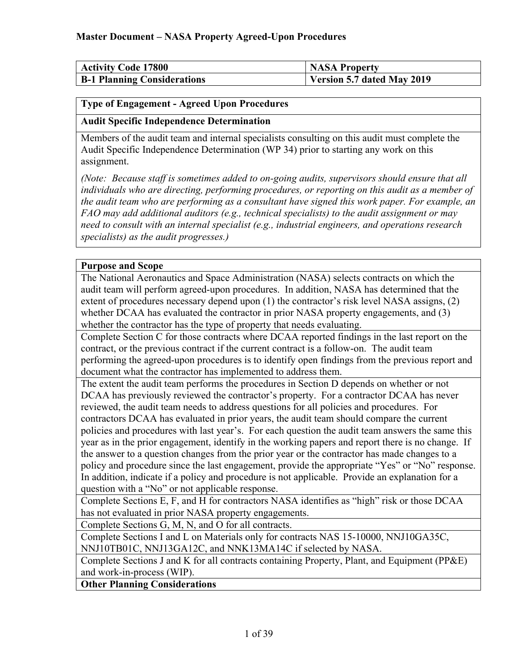| <b>Activity Code 17800</b>         | <b>NASA Property</b>       |
|------------------------------------|----------------------------|
| <b>B-1 Planning Considerations</b> | Version 5.7 dated May 2019 |

### <span id="page-0-0"></span>**Type of Engagement - Agreed Upon Procedures**

### **Audit Specific Independence Determination**

Members of the audit team and internal specialists consulting on this audit must complete the Audit Specific Independence Determination (WP 34) prior to starting any work on this assignment.

*(Note: Because staff is sometimes added to on-going audits, supervisors should ensure that all individuals who are directing, performing procedures, or reporting on this audit as a member of the audit team who are performing as a consultant have signed this work paper. For example, an FAO may add additional auditors (e.g., technical specialists) to the audit assignment or may need to consult with an internal specialist (e.g., industrial engineers, and operations research specialists) as the audit progresses.)*

### **Purpose and Scope**

The National Aeronautics and Space Administration (NASA) selects contracts on which the audit team will perform agreed-upon procedures. In addition, NASA has determined that the extent of procedures necessary depend upon (1) the contractor's risk level NASA assigns, (2) whether DCAA has evaluated the contractor in prior NASA property engagements, and (3) whether the contractor has the type of property that needs evaluating.

Complete Section C for those contracts where DCAA reported findings in the last report on the contract, or the previous contract if the current contract is a follow-on. The audit team performing the agreed-upon procedures is to identify open findings from the previous report and document what the contractor has implemented to address them.

The extent the audit team performs the procedures in Section D depends on whether or not DCAA has previously reviewed the contractor's property. For a contractor DCAA has never reviewed, the audit team needs to address questions for all policies and procedures. For contractors DCAA has evaluated in prior years, the audit team should compare the current policies and procedures with last year's. For each question the audit team answers the same this year as in the prior engagement, identify in the working papers and report there is no change. If the answer to a question changes from the prior year or the contractor has made changes to a policy and procedure since the last engagement, provide the appropriate "Yes" or "No" response. In addition, indicate if a policy and procedure is not applicable. Provide an explanation for a question with a "No" or not applicable response.

Complete Sections E, F, and H for contractors NASA identifies as "high" risk or those DCAA has not evaluated in prior NASA property engagements.

Complete Sections G, M, N, and O for all contracts.

Complete Sections I and L on Materials only for contracts NAS 15-10000, NNJ10GA35C, NNJ10TB01C, NNJ13GA12C, and NNK13MA14C if selected by NASA.

Complete Sections J and K for all contracts containing Property, Plant, and Equipment (PP&E) and work-in-process (WIP).

**Other Planning Considerations**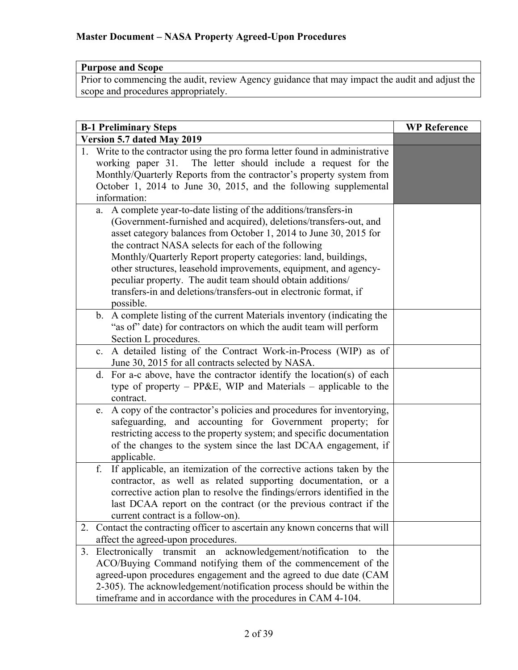### **Purpose and Scope**

Prior to commencing the audit, review Agency guidance that may impact the audit and adjust the scope and procedures appropriately.

| <b>B-1 Preliminary Steps</b>                                                                                                                                                                                                                                                                                                                                                                                                                                                                                                                            | <b>WP Reference</b> |
|---------------------------------------------------------------------------------------------------------------------------------------------------------------------------------------------------------------------------------------------------------------------------------------------------------------------------------------------------------------------------------------------------------------------------------------------------------------------------------------------------------------------------------------------------------|---------------------|
| <b>Version 5.7 dated May 2019</b>                                                                                                                                                                                                                                                                                                                                                                                                                                                                                                                       |                     |
| 1. Write to the contractor using the pro forma letter found in administrative<br>working paper 31. The letter should include a request for the<br>Monthly/Quarterly Reports from the contractor's property system from<br>October 1, 2014 to June 30, 2015, and the following supplemental<br>information:                                                                                                                                                                                                                                              |                     |
| a. A complete year-to-date listing of the additions/transfers-in<br>(Government-furnished and acquired), deletions/transfers-out, and<br>asset category balances from October 1, 2014 to June 30, 2015 for<br>the contract NASA selects for each of the following<br>Monthly/Quarterly Report property categories: land, buildings,<br>other structures, leasehold improvements, equipment, and agency-<br>peculiar property. The audit team should obtain additions/<br>transfers-in and deletions/transfers-out in electronic format, if<br>possible. |                     |
| A complete listing of the current Materials inventory (indicating the<br>$\mathbf{b}$ .<br>"as of" date) for contractors on which the audit team will perform<br>Section L procedures.                                                                                                                                                                                                                                                                                                                                                                  |                     |
| A detailed listing of the Contract Work-in-Process (WIP) as of<br>c.<br>June 30, 2015 for all contracts selected by NASA.                                                                                                                                                                                                                                                                                                                                                                                                                               |                     |
| d. For a-c above, have the contractor identify the location(s) of each<br>type of property - PP&E, WIP and Materials - applicable to the<br>contract.                                                                                                                                                                                                                                                                                                                                                                                                   |                     |
| A copy of the contractor's policies and procedures for inventorying,<br>e.<br>safeguarding, and accounting for Government property; for<br>restricting access to the property system; and specific documentation<br>of the changes to the system since the last DCAA engagement, if<br>applicable.                                                                                                                                                                                                                                                      |                     |
| If applicable, an itemization of the corrective actions taken by the<br>f.<br>contractor, as well as related supporting documentation, or a<br>corrective action plan to resolve the findings/errors identified in the<br>last DCAA report on the contract (or the previous contract if the<br>current contract is a follow-on).                                                                                                                                                                                                                        |                     |
| Contact the contracting officer to ascertain any known concerns that will<br>2.<br>affect the agreed-upon procedures.                                                                                                                                                                                                                                                                                                                                                                                                                                   |                     |
| acknowledgement/notification<br>Electronically<br>transmit<br>3.<br>the<br>an<br>to<br>ACO/Buying Command notifying them of the commencement of the<br>agreed-upon procedures engagement and the agreed to due date (CAM<br>2-305). The acknowledgement/notification process should be within the<br>timeframe and in accordance with the procedures in CAM 4-104.                                                                                                                                                                                      |                     |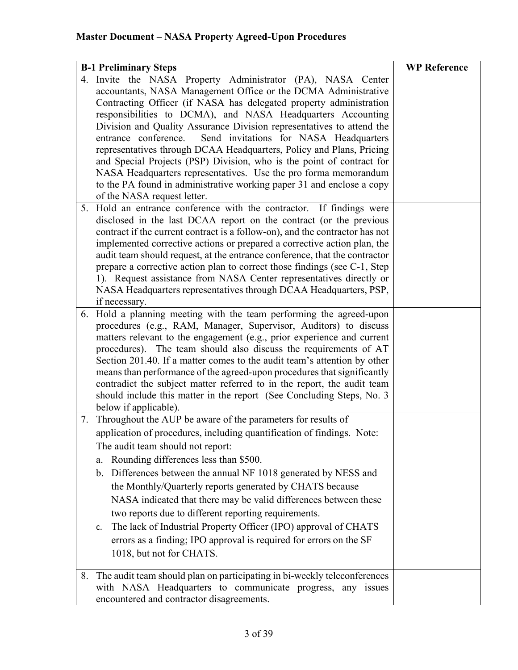|    | <b>B-1 Preliminary Steps</b>                                                 | <b>WP Reference</b> |
|----|------------------------------------------------------------------------------|---------------------|
|    | 4. Invite the NASA Property Administrator (PA), NASA Center                  |                     |
|    | accountants, NASA Management Office or the DCMA Administrative               |                     |
|    | Contracting Officer (if NASA has delegated property administration           |                     |
|    | responsibilities to DCMA), and NASA Headquarters Accounting                  |                     |
|    | Division and Quality Assurance Division representatives to attend the        |                     |
|    | entrance conference.<br>Send invitations for NASA Headquarters               |                     |
|    | representatives through DCAA Headquarters, Policy and Plans, Pricing         |                     |
|    | and Special Projects (PSP) Division, who is the point of contract for        |                     |
|    | NASA Headquarters representatives. Use the pro forma memorandum              |                     |
|    | to the PA found in administrative working paper 31 and enclose a copy        |                     |
|    | of the NASA request letter.                                                  |                     |
|    | 5. Hold an entrance conference with the contractor. If findings were         |                     |
|    | disclosed in the last DCAA report on the contract (or the previous           |                     |
|    | contract if the current contract is a follow-on), and the contractor has not |                     |
|    | implemented corrective actions or prepared a corrective action plan, the     |                     |
|    | audit team should request, at the entrance conference, that the contractor   |                     |
|    | prepare a corrective action plan to correct those findings (see C-1, Step    |                     |
|    | 1). Request assistance from NASA Center representatives directly or          |                     |
|    | NASA Headquarters representatives through DCAA Headquarters, PSP,            |                     |
|    | if necessary.                                                                |                     |
| 6. | Hold a planning meeting with the team performing the agreed-upon             |                     |
|    | procedures (e.g., RAM, Manager, Supervisor, Auditors) to discuss             |                     |
|    | matters relevant to the engagement (e.g., prior experience and current       |                     |
|    | procedures). The team should also discuss the requirements of AT             |                     |
|    | Section 201.40. If a matter comes to the audit team's attention by other     |                     |
|    | means than performance of the agreed-upon procedures that significantly      |                     |
|    | contradict the subject matter referred to in the report, the audit team      |                     |
|    | should include this matter in the report (See Concluding Steps, No. 3)       |                     |
|    | below if applicable).                                                        |                     |
| 7. | Throughout the AUP be aware of the parameters for results of                 |                     |
|    | application of procedures, including quantification of findings. Note:       |                     |
|    | The audit team should not report:                                            |                     |
|    | Rounding differences less than \$500.<br>a.                                  |                     |
|    | b. Differences between the annual NF 1018 generated by NESS and              |                     |
|    | the Monthly/Quarterly reports generated by CHATS because                     |                     |
|    | NASA indicated that there may be valid differences between these             |                     |
|    | two reports due to different reporting requirements.                         |                     |
|    | The lack of Industrial Property Officer (IPO) approval of CHATS<br>c.        |                     |
|    | errors as a finding; IPO approval is required for errors on the SF           |                     |
|    |                                                                              |                     |
|    | 1018, but not for CHATS.                                                     |                     |
| 8. | The audit team should plan on participating in bi-weekly teleconferences     |                     |
|    | with NASA Headquarters to communicate progress, any issues                   |                     |
|    | encountered and contractor disagreements.                                    |                     |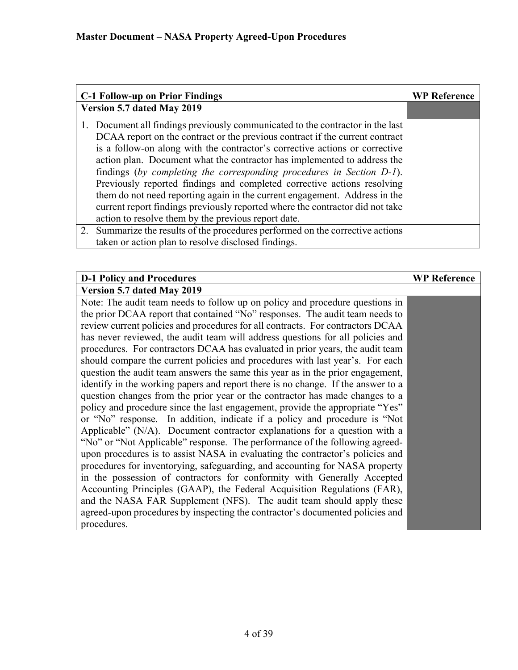| <b>C-1 Follow-up on Prior Findings</b>                                                                                                                                                                                                                                                                                                                                                                                                                                                                                                                                                                                                                                                              | <b>WP Reference</b> |
|-----------------------------------------------------------------------------------------------------------------------------------------------------------------------------------------------------------------------------------------------------------------------------------------------------------------------------------------------------------------------------------------------------------------------------------------------------------------------------------------------------------------------------------------------------------------------------------------------------------------------------------------------------------------------------------------------------|---------------------|
| Version 5.7 dated May 2019                                                                                                                                                                                                                                                                                                                                                                                                                                                                                                                                                                                                                                                                          |                     |
| 1. Document all findings previously communicated to the contractor in the last<br>DCAA report on the contract or the previous contract if the current contract<br>is a follow-on along with the contractor's corrective actions or corrective<br>action plan. Document what the contractor has implemented to address the<br>findings (by completing the corresponding procedures in Section D-1).<br>Previously reported findings and completed corrective actions resolving<br>them do not need reporting again in the current engagement. Address in the<br>current report findings previously reported where the contractor did not take<br>action to resolve them by the previous report date. |                     |
| 2. Summarize the results of the procedures performed on the corrective actions<br>taken or action plan to resolve disclosed findings.                                                                                                                                                                                                                                                                                                                                                                                                                                                                                                                                                               |                     |

| <b>D-1 Policy and Procedures</b>                                                 | <b>WP Reference</b> |
|----------------------------------------------------------------------------------|---------------------|
| Version 5.7 dated May 2019                                                       |                     |
| Note: The audit team needs to follow up on policy and procedure questions in     |                     |
| the prior DCAA report that contained "No" responses. The audit team needs to     |                     |
| review current policies and procedures for all contracts. For contractors DCAA   |                     |
| has never reviewed, the audit team will address questions for all policies and   |                     |
| procedures. For contractors DCAA has evaluated in prior years, the audit team    |                     |
| should compare the current policies and procedures with last year's. For each    |                     |
| question the audit team answers the same this year as in the prior engagement,   |                     |
| identify in the working papers and report there is no change. If the answer to a |                     |
| question changes from the prior year or the contractor has made changes to a     |                     |
| policy and procedure since the last engagement, provide the appropriate "Yes"    |                     |
| or "No" response. In addition, indicate if a policy and procedure is "Not        |                     |
| Applicable" (N/A). Document contractor explanations for a question with a        |                     |
| "No" or "Not Applicable" response. The performance of the following agreed-      |                     |
| upon procedures is to assist NASA in evaluating the contractor's policies and    |                     |
| procedures for inventorying, safeguarding, and accounting for NASA property      |                     |
| in the possession of contractors for conformity with Generally Accepted          |                     |
| Accounting Principles (GAAP), the Federal Acquisition Regulations (FAR),         |                     |
| and the NASA FAR Supplement (NFS). The audit team should apply these             |                     |
| agreed-upon procedures by inspecting the contractor's documented policies and    |                     |
| procedures.                                                                      |                     |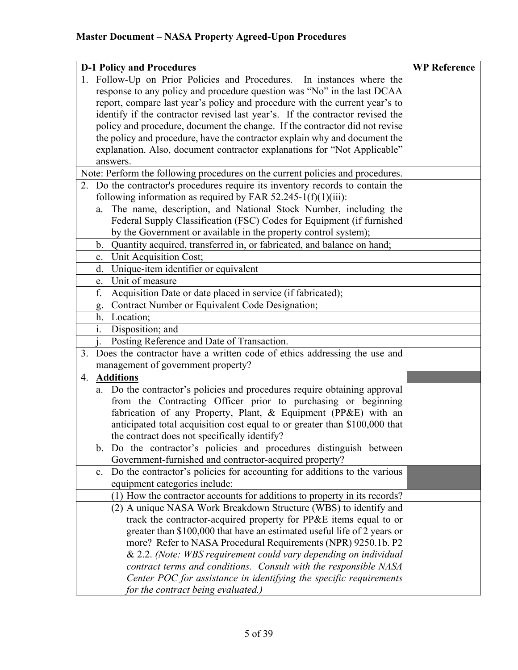| <b>D-1 Policy and Procedures</b> |                                                                                                                                                                              | <b>WP Reference</b> |
|----------------------------------|------------------------------------------------------------------------------------------------------------------------------------------------------------------------------|---------------------|
|                                  | 1. Follow-Up on Prior Policies and Procedures. In instances where the                                                                                                        |                     |
|                                  | response to any policy and procedure question was "No" in the last DCAA                                                                                                      |                     |
|                                  | report, compare last year's policy and procedure with the current year's to                                                                                                  |                     |
|                                  | identify if the contractor revised last year's. If the contractor revised the                                                                                                |                     |
|                                  | policy and procedure, document the change. If the contractor did not revise                                                                                                  |                     |
|                                  | the policy and procedure, have the contractor explain why and document the                                                                                                   |                     |
|                                  | explanation. Also, document contractor explanations for "Not Applicable"                                                                                                     |                     |
|                                  | answers.                                                                                                                                                                     |                     |
|                                  | Note: Perform the following procedures on the current policies and procedures.                                                                                               |                     |
|                                  | 2. Do the contractor's procedures require its inventory records to contain the<br>following information as required by FAR $52.245-1(f)(1)(iii)$ :                           |                     |
| a.                               | The name, description, and National Stock Number, including the                                                                                                              |                     |
|                                  | Federal Supply Classification (FSC) Codes for Equipment (if furnished                                                                                                        |                     |
|                                  | by the Government or available in the property control system);                                                                                                              |                     |
|                                  | Quantity acquired, transferred in, or fabricated, and balance on hand;<br>b.                                                                                                 |                     |
| c.                               | Unit Acquisition Cost;                                                                                                                                                       |                     |
| d.                               | Unique-item identifier or equivalent                                                                                                                                         |                     |
| e.                               | Unit of measure                                                                                                                                                              |                     |
| f.                               | Acquisition Date or date placed in service (if fabricated);                                                                                                                  |                     |
| g.                               | Contract Number or Equivalent Code Designation;                                                                                                                              |                     |
| h.                               | Location;                                                                                                                                                                    |                     |
| $\mathbf{i}$ .                   | Disposition; and                                                                                                                                                             |                     |
|                                  | Posting Reference and Date of Transaction.                                                                                                                                   |                     |
|                                  | 3. Does the contractor have a written code of ethics addressing the use and                                                                                                  |                     |
|                                  | management of government property?                                                                                                                                           |                     |
| 4.                               | <b>Additions</b>                                                                                                                                                             |                     |
|                                  | a. Do the contractor's policies and procedures require obtaining approval                                                                                                    |                     |
|                                  | from the Contracting Officer prior to purchasing or beginning                                                                                                                |                     |
|                                  | fabrication of any Property, Plant, & Equipment (PP&E) with an                                                                                                               |                     |
|                                  | anticipated total acquisition cost equal to or greater than \$100,000 that                                                                                                   |                     |
|                                  | the contract does not specifically identify?                                                                                                                                 |                     |
| b.                               | Do the contractor's policies and procedures distinguish between                                                                                                              |                     |
|                                  | Government-furnished and contractor-acquired property?                                                                                                                       |                     |
| $\mathbf{c}$ .                   | Do the contractor's policies for accounting for additions to the various                                                                                                     |                     |
|                                  | equipment categories include:                                                                                                                                                |                     |
|                                  | (1) How the contractor accounts for additions to property in its records?                                                                                                    |                     |
|                                  | (2) A unique NASA Work Breakdown Structure (WBS) to identify and<br>track the contractor-acquired property for PP&E items equal to or                                        |                     |
|                                  | greater than \$100,000 that have an estimated useful life of 2 years or                                                                                                      |                     |
|                                  | more? Refer to NASA Procedural Requirements (NPR) 9250.1b. P2                                                                                                                |                     |
|                                  | & 2.2. (Note: WBS requirement could vary depending on individual                                                                                                             |                     |
|                                  |                                                                                                                                                                              |                     |
|                                  |                                                                                                                                                                              |                     |
|                                  |                                                                                                                                                                              |                     |
|                                  | contract terms and conditions. Consult with the responsible NASA<br>Center POC for assistance in identifying the specific requirements<br>for the contract being evaluated.) |                     |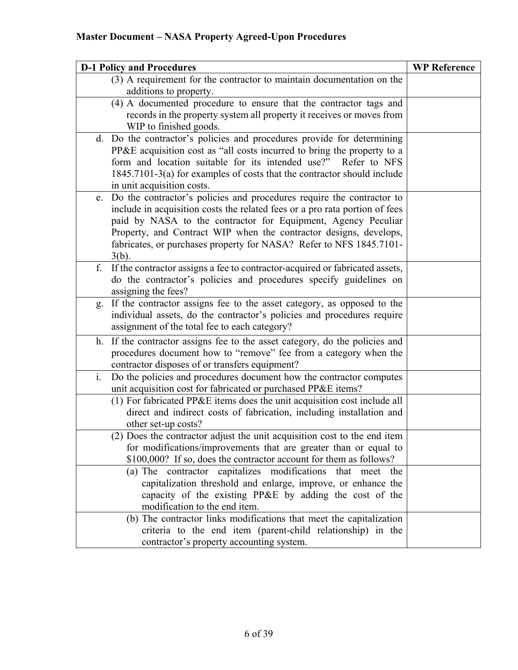| <b>D-1 Policy and Procedures</b>                                                                      | <b>WP Reference</b> |
|-------------------------------------------------------------------------------------------------------|---------------------|
| (3) A requirement for the contractor to maintain documentation on the                                 |                     |
| additions to property.                                                                                |                     |
| (4) A documented procedure to ensure that the contractor tags and                                     |                     |
| records in the property system all property it receives or moves from                                 |                     |
| WIP to finished goods.                                                                                |                     |
| d. Do the contractor's policies and procedures provide for determining                                |                     |
| PP&E acquisition cost as "all costs incurred to bring the property to a                               |                     |
| form and location suitable for its intended use?"<br>Refer to NFS                                     |                     |
| 1845.7101-3(a) for examples of costs that the contractor should include<br>in unit acquisition costs. |                     |
| Do the contractor's policies and procedures require the contractor to<br>e.                           |                     |
| include in acquisition costs the related fees or a pro rata portion of fees                           |                     |
| paid by NASA to the contractor for Equipment, Agency Peculiar                                         |                     |
| Property, and Contract WIP when the contractor designs, develops,                                     |                     |
| fabricates, or purchases property for NASA? Refer to NFS 1845.7101-                                   |                     |
| $3(b)$ .                                                                                              |                     |
| f.<br>If the contractor assigns a fee to contractor-acquired or fabricated assets,                    |                     |
| do the contractor's policies and procedures specify guidelines on                                     |                     |
| assigning the fees?                                                                                   |                     |
| If the contractor assigns fee to the asset category, as opposed to the<br>g.                          |                     |
| individual assets, do the contractor's policies and procedures require                                |                     |
| assignment of the total fee to each category?                                                         |                     |
| h. If the contractor assigns fee to the asset category, do the policies and                           |                     |
| procedures document how to "remove" fee from a category when the                                      |                     |
| contractor disposes of or transfers equipment?                                                        |                     |
| i.<br>Do the policies and procedures document how the contractor computes                             |                     |
| unit acquisition cost for fabricated or purchased PP&E items?                                         |                     |
| (1) For fabricated PP&E items does the unit acquisition cost include all                              |                     |
| direct and indirect costs of fabrication, including installation and                                  |                     |
| other set-up costs?<br>(2) Does the contractor adjust the unit acquisition cost to the end item       |                     |
| for modifications/improvements that are greater than or equal to                                      |                     |
| \$100,000? If so, does the contractor account for them as follows?                                    |                     |
| (a) The contractor capitalizes modifications that meet the                                            |                     |
| capitalization threshold and enlarge, improve, or enhance the                                         |                     |
| capacity of the existing PP&E by adding the cost of the                                               |                     |
| modification to the end item.                                                                         |                     |
| (b) The contractor links modifications that meet the capitalization                                   |                     |
| criteria to the end item (parent-child relationship) in the                                           |                     |
| contractor's property accounting system.                                                              |                     |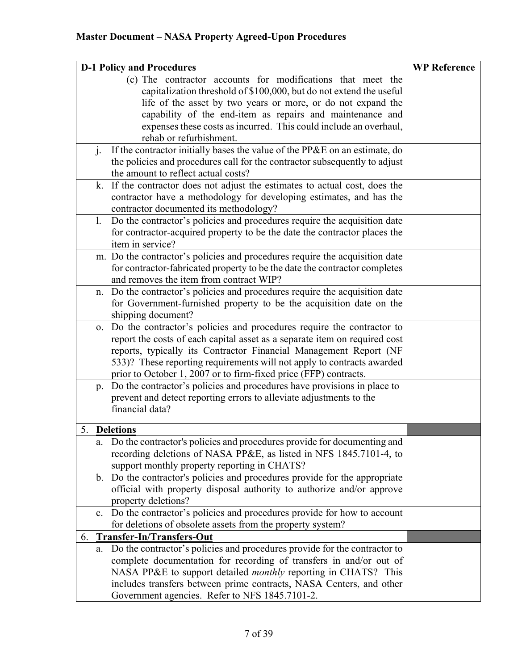| <b>D-1 Policy and Procedures</b> |                | <b>WP Reference</b>                                                         |  |
|----------------------------------|----------------|-----------------------------------------------------------------------------|--|
|                                  |                | (c) The contractor accounts for modifications that meet the                 |  |
|                                  |                | capitalization threshold of \$100,000, but do not extend the useful         |  |
|                                  |                | life of the asset by two years or more, or do not expand the                |  |
|                                  |                | capability of the end-item as repairs and maintenance and                   |  |
|                                  |                | expenses these costs as incurred. This could include an overhaul,           |  |
|                                  |                | rehab or refurbishment.                                                     |  |
|                                  | $\mathbf{i}$ . | If the contractor initially bases the value of the PP&E on an estimate, do  |  |
|                                  |                | the policies and procedures call for the contractor subsequently to adjust  |  |
|                                  |                | the amount to reflect actual costs?                                         |  |
|                                  | k.             | If the contractor does not adjust the estimates to actual cost, does the    |  |
|                                  |                | contractor have a methodology for developing estimates, and has the         |  |
|                                  |                | contractor documented its methodology?                                      |  |
|                                  | 1.             | Do the contractor's policies and procedures require the acquisition date    |  |
|                                  |                | for contractor-acquired property to be the date the contractor places the   |  |
|                                  |                | item in service?                                                            |  |
|                                  |                | m. Do the contractor's policies and procedures require the acquisition date |  |
|                                  |                | for contractor-fabricated property to be the date the contractor completes  |  |
|                                  |                | and removes the item from contract WIP?                                     |  |
|                                  | n.             | Do the contractor's policies and procedures require the acquisition date    |  |
|                                  |                | for Government-furnished property to be the acquisition date on the         |  |
|                                  |                | shipping document?                                                          |  |
|                                  | 0.             | Do the contractor's policies and procedures require the contractor to       |  |
|                                  |                | report the costs of each capital asset as a separate item on required cost  |  |
|                                  |                | reports, typically its Contractor Financial Management Report (NF           |  |
|                                  |                | 533)? These reporting requirements will not apply to contracts awarded      |  |
|                                  |                | prior to October 1, 2007 or to firm-fixed price (FFP) contracts.            |  |
|                                  | p.             | Do the contractor's policies and procedures have provisions in place to     |  |
|                                  |                | prevent and detect reporting errors to alleviate adjustments to the         |  |
|                                  |                | financial data?                                                             |  |
|                                  |                | 5. Deletions                                                                |  |
|                                  | a.             | Do the contractor's policies and procedures provide for documenting and     |  |
|                                  |                | recording deletions of NASA PP&E, as listed in NFS 1845.7101-4, to          |  |
|                                  |                | support monthly property reporting in CHATS?                                |  |
|                                  | b.             | Do the contractor's policies and procedures provide for the appropriate     |  |
|                                  |                | official with property disposal authority to authorize and/or approve       |  |
|                                  |                | property deletions?                                                         |  |
|                                  | c.             | Do the contractor's policies and procedures provide for how to account      |  |
|                                  |                | for deletions of obsolete assets from the property system?                  |  |
| 6.                               |                | Transfer-In/Transfers-Out                                                   |  |
|                                  | a.             | Do the contractor's policies and procedures provide for the contractor to   |  |
|                                  |                | complete documentation for recording of transfers in and/or out of          |  |
|                                  |                | NASA PP&E to support detailed <i>monthly</i> reporting in CHATS? This       |  |
|                                  |                | includes transfers between prime contracts, NASA Centers, and other         |  |
|                                  |                | Government agencies. Refer to NFS 1845.7101-2.                              |  |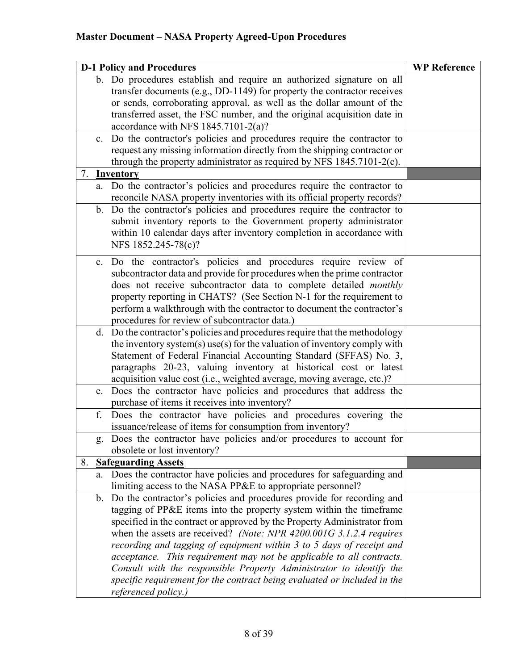| <b>D-1 Policy and Procedures</b> |             |                                                                             | <b>WP Reference</b> |
|----------------------------------|-------------|-----------------------------------------------------------------------------|---------------------|
|                                  |             | b. Do procedures establish and require an authorized signature on all       |                     |
|                                  |             | transfer documents (e.g., DD-1149) for property the contractor receives     |                     |
|                                  |             | or sends, corroborating approval, as well as the dollar amount of the       |                     |
|                                  |             | transferred asset, the FSC number, and the original acquisition date in     |                     |
|                                  |             | accordance with NFS 1845.7101-2(a)?                                         |                     |
|                                  | $c_{\cdot}$ | Do the contractor's policies and procedures require the contractor to       |                     |
|                                  |             | request any missing information directly from the shipping contractor or    |                     |
|                                  |             | through the property administrator as required by NFS $1845.7101-2(c)$ .    |                     |
|                                  |             | 7. <b>Inventory</b>                                                         |                     |
|                                  |             | a. Do the contractor's policies and procedures require the contractor to    |                     |
|                                  |             | reconcile NASA property inventories with its official property records?     |                     |
|                                  |             | b. Do the contractor's policies and procedures require the contractor to    |                     |
|                                  |             | submit inventory reports to the Government property administrator           |                     |
|                                  |             | within 10 calendar days after inventory completion in accordance with       |                     |
|                                  |             | NFS 1852.245-78(c)?                                                         |                     |
|                                  | c.          | Do the contractor's policies and procedures require review of               |                     |
|                                  |             | subcontractor data and provide for procedures when the prime contractor     |                     |
|                                  |             | does not receive subcontractor data to complete detailed monthly            |                     |
|                                  |             |                                                                             |                     |
|                                  |             | property reporting in CHATS? (See Section N-1 for the requirement to        |                     |
|                                  |             | perform a walkthrough with the contractor to document the contractor's      |                     |
|                                  |             | procedures for review of subcontractor data.)                               |                     |
|                                  |             | d. Do the contractor's policies and procedures require that the methodology |                     |
|                                  |             | the inventory system(s) use(s) for the valuation of inventory comply with   |                     |
|                                  |             | Statement of Federal Financial Accounting Standard (SFFAS) No. 3,           |                     |
|                                  |             | paragraphs 20-23, valuing inventory at historical cost or latest            |                     |
|                                  |             | acquisition value cost (i.e., weighted average, moving average, etc.)?      |                     |
|                                  | e.          | Does the contractor have policies and procedures that address the           |                     |
|                                  |             | purchase of items it receives into inventory?                               |                     |
|                                  | f.          | Does the contractor have policies and procedures covering the               |                     |
|                                  |             | issuance/release of items for consumption from inventory?                   |                     |
|                                  |             | g. Does the contractor have policies and/or procedures to account for       |                     |
|                                  |             | obsolete or lost inventory?                                                 |                     |
|                                  |             | 8. Safeguarding Assets                                                      |                     |
|                                  |             | a. Does the contractor have policies and procedures for safeguarding and    |                     |
|                                  |             | limiting access to the NASA PP&E to appropriate personnel?                  |                     |
|                                  |             | b. Do the contractor's policies and procedures provide for recording and    |                     |
|                                  |             | tagging of PP&E items into the property system within the timeframe         |                     |
|                                  |             | specified in the contract or approved by the Property Administrator from    |                     |
|                                  |             | when the assets are received? (Note: NPR 4200.001G 3.1.2.4 requires         |                     |
|                                  |             | recording and tagging of equipment within 3 to 5 days of receipt and        |                     |
|                                  |             | acceptance. This requirement may not be applicable to all contracts.        |                     |
|                                  |             | Consult with the responsible Property Administrator to identify the         |                     |
|                                  |             | specific requirement for the contract being evaluated or included in the    |                     |
|                                  |             | referenced policy.)                                                         |                     |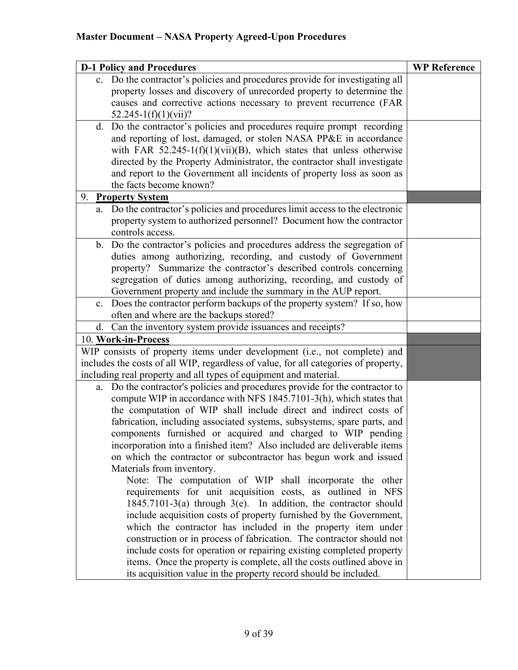| <b>D-1 Policy and Procedures</b>                                                                                                             | <b>WP Reference</b> |
|----------------------------------------------------------------------------------------------------------------------------------------------|---------------------|
| c. Do the contractor's policies and procedures provide for investigating all                                                                 |                     |
| property losses and discovery of unrecorded property to determine the                                                                        |                     |
| causes and corrective actions necessary to prevent recurrence (FAR                                                                           |                     |
| $52.245 - 1(f)(1)(vii)?$                                                                                                                     |                     |
| d. Do the contractor's policies and procedures require prompt recording                                                                      |                     |
| and reporting of lost, damaged, or stolen NASA PP&E in accordance                                                                            |                     |
| with FAR 52.245-1(f)(1)(vii)(B), which states that unless otherwise                                                                          |                     |
| directed by the Property Administrator, the contractor shall investigate                                                                     |                     |
| and report to the Government all incidents of property loss as soon as                                                                       |                     |
| the facts become known?                                                                                                                      |                     |
| 9. Property System                                                                                                                           |                     |
| Do the contractor's policies and procedures limit access to the electronic<br>a.                                                             |                     |
| property system to authorized personnel? Document how the contractor                                                                         |                     |
| controls access.                                                                                                                             |                     |
| b. Do the contractor's policies and procedures address the segregation of<br>duties among authorizing, recording, and custody of Government  |                     |
| property? Summarize the contractor's described controls concerning                                                                           |                     |
| segregation of duties among authorizing, recording, and custody of                                                                           |                     |
| Government property and include the summary in the AUP report.                                                                               |                     |
| c. Does the contractor perform backups of the property system? If so, how                                                                    |                     |
| often and where are the backups stored?                                                                                                      |                     |
| d. Can the inventory system provide issuances and receipts?                                                                                  |                     |
| 10. Work-in-Process                                                                                                                          |                     |
| WIP consists of property items under development (i.e., not complete) and                                                                    |                     |
| includes the costs of all WIP, regardless of value, for all categories of property,                                                          |                     |
| including real property and all types of equipment and material.                                                                             |                     |
| Do the contractor's policies and procedures provide for the contractor to<br>a.                                                              |                     |
| compute WIP in accordance with NFS 1845.7101-3(h), which states that                                                                         |                     |
| the computation of WIP shall include direct and indirect costs of                                                                            |                     |
| fabrication, including associated systems, subsystems, spare parts, and                                                                      |                     |
| components furnished or acquired and charged to WIP pending                                                                                  |                     |
| incorporation into a finished item? Also included are deliverable items                                                                      |                     |
| on which the contractor or subcontractor has begun work and issued                                                                           |                     |
| Materials from inventory.                                                                                                                    |                     |
| Note: The computation of WIP shall incorporate the other                                                                                     |                     |
| requirements for unit acquisition costs, as outlined in NFS                                                                                  |                     |
| $1845.7101-3(a)$ through $3(e)$ . In addition, the contractor should                                                                         |                     |
| include acquisition costs of property furnished by the Government,                                                                           |                     |
| which the contractor has included in the property item under                                                                                 |                     |
| construction or in process of fabrication. The contractor should not<br>include costs for operation or repairing existing completed property |                     |
| items. Once the property is complete, all the costs outlined above in                                                                        |                     |
| its acquisition value in the property record should be included.                                                                             |                     |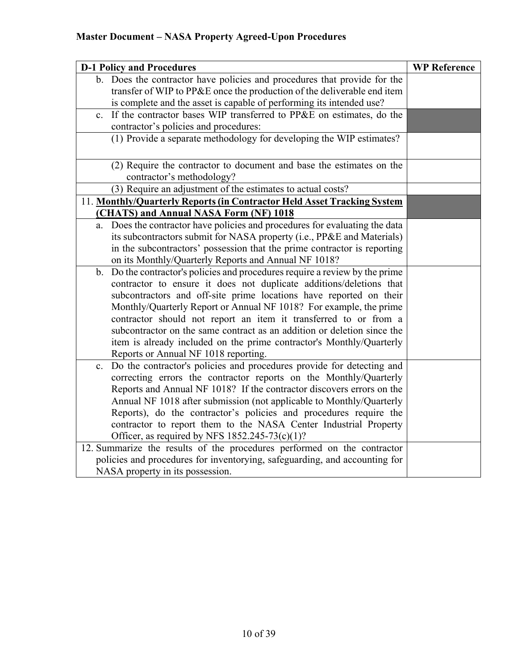| <b>D-1 Policy and Procedures</b>                                                                                                          | <b>WP Reference</b> |
|-------------------------------------------------------------------------------------------------------------------------------------------|---------------------|
| b. Does the contractor have policies and procedures that provide for the                                                                  |                     |
| transfer of WIP to PP&E once the production of the deliverable end item                                                                   |                     |
| is complete and the asset is capable of performing its intended use?                                                                      |                     |
| If the contractor bases WIP transferred to PP&E on estimates, do the<br>$\mathbf{c}$ .                                                    |                     |
| contractor's policies and procedures:                                                                                                     |                     |
| (1) Provide a separate methodology for developing the WIP estimates?                                                                      |                     |
| (2) Require the contractor to document and base the estimates on the                                                                      |                     |
| contractor's methodology?<br>(3) Require an adjustment of the estimates to actual costs?                                                  |                     |
| 11. Monthly/Quarterly Reports (in Contractor Held Asset Tracking System                                                                   |                     |
| (CHATS) and Annual NASA Form (NF) 1018                                                                                                    |                     |
| Does the contractor have policies and procedures for evaluating the data<br>a.                                                            |                     |
| its subcontractors submit for NASA property (i.e., PP&E and Materials)                                                                    |                     |
| in the subcontractors' possession that the prime contractor is reporting                                                                  |                     |
| on its Monthly/Quarterly Reports and Annual NF 1018?                                                                                      |                     |
| Do the contractor's policies and procedures require a review by the prime<br>b.                                                           |                     |
| contractor to ensure it does not duplicate additions/deletions that                                                                       |                     |
| subcontractors and off-site prime locations have reported on their                                                                        |                     |
| Monthly/Quarterly Report or Annual NF 1018? For example, the prime                                                                        |                     |
| contractor should not report an item it transferred to or from a                                                                          |                     |
| subcontractor on the same contract as an addition or deletion since the                                                                   |                     |
| item is already included on the prime contractor's Monthly/Quarterly                                                                      |                     |
| Reports or Annual NF 1018 reporting.                                                                                                      |                     |
| Do the contractor's policies and procedures provide for detecting and<br>$c_{\cdot}$                                                      |                     |
| correcting errors the contractor reports on the Monthly/Quarterly                                                                         |                     |
| Reports and Annual NF 1018? If the contractor discovers errors on the                                                                     |                     |
| Annual NF 1018 after submission (not applicable to Monthly/Quarterly<br>Reports), do the contractor's policies and procedures require the |                     |
| contractor to report them to the NASA Center Industrial Property                                                                          |                     |
| Officer, as required by NFS $1852.245-73(c)(1)?$                                                                                          |                     |
| 12. Summarize the results of the procedures performed on the contractor                                                                   |                     |
| policies and procedures for inventorying, safeguarding, and accounting for                                                                |                     |
| NASA property in its possession.                                                                                                          |                     |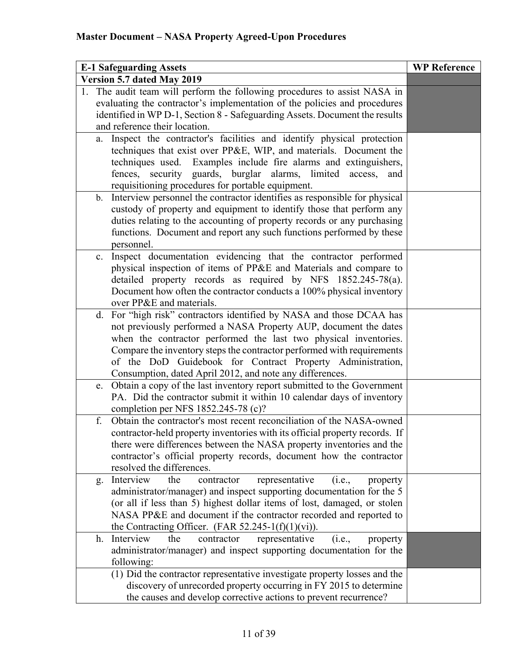| <b>E-1 Safeguarding Assets</b>                                                                                                            | <b>WP Reference</b> |
|-------------------------------------------------------------------------------------------------------------------------------------------|---------------------|
| Version 5.7 dated May 2019                                                                                                                |                     |
| 1. The audit team will perform the following procedures to assist NASA in                                                                 |                     |
| evaluating the contractor's implementation of the policies and procedures                                                                 |                     |
| identified in WP D-1, Section 8 - Safeguarding Assets. Document the results                                                               |                     |
| and reference their location.                                                                                                             |                     |
| Inspect the contractor's facilities and identify physical protection<br>a.                                                                |                     |
| techniques that exist over PP&E, WIP, and materials. Document the                                                                         |                     |
| techniques used. Examples include fire alarms and extinguishers,                                                                          |                     |
| fences, security guards, burglar alarms, limited<br>access,<br>and                                                                        |                     |
| requisitioning procedures for portable equipment.                                                                                         |                     |
| Interview personnel the contractor identifies as responsible for physical<br>b.                                                           |                     |
| custody of property and equipment to identify those that perform any                                                                      |                     |
| duties relating to the accounting of property records or any purchasing                                                                   |                     |
| functions. Document and report any such functions performed by these                                                                      |                     |
| personnel.                                                                                                                                |                     |
| Inspect documentation evidencing that the contractor performed<br>c.<br>physical inspection of items of PP&E and Materials and compare to |                     |
| detailed property records as required by NFS 1852.245-78(a).                                                                              |                     |
| Document how often the contractor conducts a 100% physical inventory                                                                      |                     |
| over PP&E and materials.                                                                                                                  |                     |
| For "high risk" contractors identified by NASA and those DCAA has<br>d.                                                                   |                     |
| not previously performed a NASA Property AUP, document the dates                                                                          |                     |
| when the contractor performed the last two physical inventories.                                                                          |                     |
| Compare the inventory steps the contractor performed with requirements                                                                    |                     |
| of the DoD Guidebook for Contract Property Administration,                                                                                |                     |
| Consumption, dated April 2012, and note any differences.                                                                                  |                     |
| Obtain a copy of the last inventory report submitted to the Government<br>e.                                                              |                     |
| PA. Did the contractor submit it within 10 calendar days of inventory                                                                     |                     |
| completion per NFS $1852.245-78$ (c)?                                                                                                     |                     |
| Obtain the contractor's most recent reconciliation of the NASA-owned<br>f.                                                                |                     |
| contractor-held property inventories with its official property records. If                                                               |                     |
| there were differences between the NASA property inventories and the                                                                      |                     |
| contractor's official property records, document how the contractor                                                                       |                     |
| resolved the differences.                                                                                                                 |                     |
| Interview<br>the<br>contractor<br>representative<br>(i.e.,<br>property<br>g.                                                              |                     |
| administrator/manager) and inspect supporting documentation for the 5                                                                     |                     |
| (or all if less than 5) highest dollar items of lost, damaged, or stolen                                                                  |                     |
| NASA PP&E and document if the contractor recorded and reported to                                                                         |                     |
| the Contracting Officer. (FAR $52.245-1(f)(1)(vi)$ ).<br>representative<br>Interview<br>the<br>contractor<br>(i.e.,                       |                     |
| property<br>h.<br>administrator/manager) and inspect supporting documentation for the                                                     |                     |
| following:                                                                                                                                |                     |
| (1) Did the contractor representative investigate property losses and the                                                                 |                     |
| discovery of unrecorded property occurring in FY 2015 to determine                                                                        |                     |
| the causes and develop corrective actions to prevent recurrence?                                                                          |                     |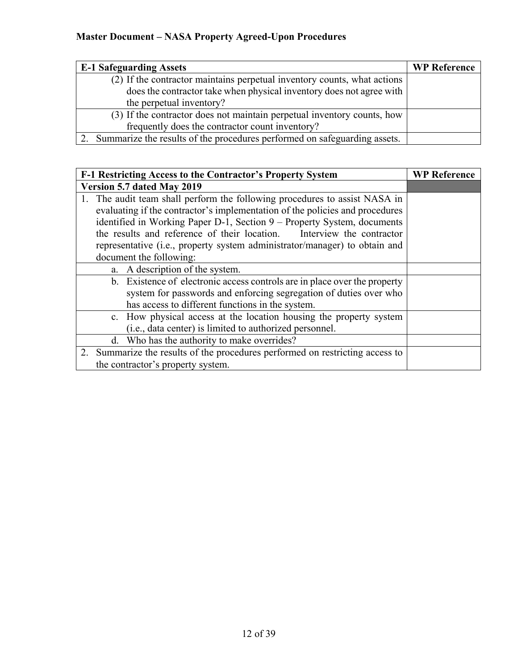| <b>E-1 Safeguarding Assets</b>                                            | <b>WP Reference</b> |
|---------------------------------------------------------------------------|---------------------|
| (2) If the contractor maintains perpetual inventory counts, what actions  |                     |
| does the contractor take when physical inventory does not agree with      |                     |
| the perpetual inventory?                                                  |                     |
| (3) If the contractor does not maintain perpetual inventory counts, how   |                     |
| frequently does the contractor count inventory?                           |                     |
| Summarize the results of the procedures performed on safeguarding assets. |                     |

| F-1 Restricting Access to the Contractor's Property System                    | <b>WP Reference</b> |
|-------------------------------------------------------------------------------|---------------------|
| Version 5.7 dated May 2019                                                    |                     |
| 1. The audit team shall perform the following procedures to assist NASA in    |                     |
| evaluating if the contractor's implementation of the policies and procedures  |                     |
| identified in Working Paper D-1, Section 9 – Property System, documents       |                     |
| the results and reference of their location. Interview the contractor         |                     |
| representative (i.e., property system administrator/manager) to obtain and    |                     |
| document the following:                                                       |                     |
| a. A description of the system.                                               |                     |
| b. Existence of electronic access controls are in place over the property     |                     |
| system for passwords and enforcing segregation of duties over who             |                     |
| has access to different functions in the system.                              |                     |
| c. How physical access at the location housing the property system            |                     |
| ( <i>i.e.</i> , data center) is limited to authorized personnel.              |                     |
| d. Who has the authority to make overrides?                                   |                     |
| 2. Summarize the results of the procedures performed on restricting access to |                     |
| the contractor's property system.                                             |                     |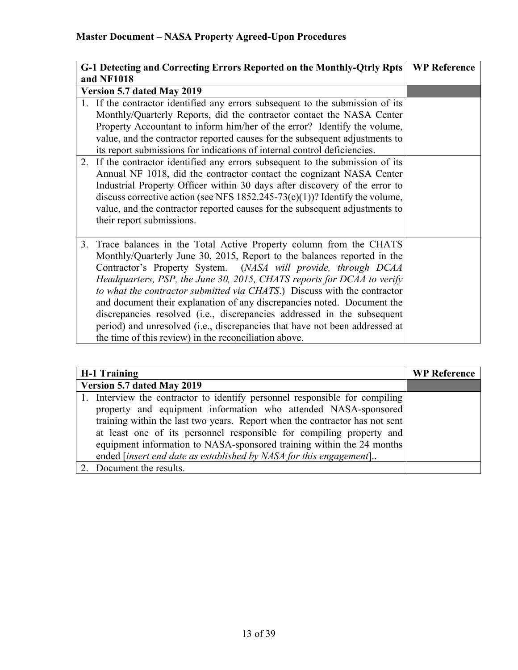| G-1 Detecting and Correcting Errors Reported on the Monthly-Qtrly Rpts                                                                                                                                                                                                                                                                                                                                                                                                                                                                                                                                                                                                                                                                                                                                                                  | <b>WP Reference</b> |
|-----------------------------------------------------------------------------------------------------------------------------------------------------------------------------------------------------------------------------------------------------------------------------------------------------------------------------------------------------------------------------------------------------------------------------------------------------------------------------------------------------------------------------------------------------------------------------------------------------------------------------------------------------------------------------------------------------------------------------------------------------------------------------------------------------------------------------------------|---------------------|
| and NF1018                                                                                                                                                                                                                                                                                                                                                                                                                                                                                                                                                                                                                                                                                                                                                                                                                              |                     |
| Version 5.7 dated May 2019                                                                                                                                                                                                                                                                                                                                                                                                                                                                                                                                                                                                                                                                                                                                                                                                              |                     |
| 1. If the contractor identified any errors subsequent to the submission of its<br>Monthly/Quarterly Reports, did the contractor contact the NASA Center<br>Property Accountant to inform him/her of the error? Identify the volume,<br>value, and the contractor reported causes for the subsequent adjustments to<br>its report submissions for indications of internal control deficiencies.<br>If the contractor identified any errors subsequent to the submission of its<br>2.<br>Annual NF 1018, did the contractor contact the cognizant NASA Center<br>Industrial Property Officer within 30 days after discovery of the error to<br>discuss corrective action (see NFS $1852.245-73(c)(1)$ )? Identify the volume,<br>value, and the contractor reported causes for the subsequent adjustments to<br>their report submissions. |                     |
| Trace balances in the Total Active Property column from the CHATS<br>3.<br>Monthly/Quarterly June 30, 2015, Report to the balances reported in the<br>Contractor's Property System. (NASA will provide, through DCAA<br>Headquarters, PSP, the June 30, 2015, CHATS reports for DCAA to verify<br>to what the contractor submitted via CHATS.) Discuss with the contractor<br>and document their explanation of any discrepancies noted. Document the<br>discrepancies resolved (i.e., discrepancies addressed in the subsequent<br>period) and unresolved (i.e., discrepancies that have not been addressed at<br>the time of this review) in the reconciliation above.                                                                                                                                                                |                     |

| H-1 Training                                                                | <b>WP Reference</b> |
|-----------------------------------------------------------------------------|---------------------|
| Version 5.7 dated May 2019                                                  |                     |
| 1. Interview the contractor to identify personnel responsible for compiling |                     |
| property and equipment information who attended NASA-sponsored              |                     |
| training within the last two years. Report when the contractor has not sent |                     |
| at least one of its personnel responsible for compiling property and        |                     |
| equipment information to NASA-sponsored training within the 24 months       |                     |
| ended [insert end date as established by NASA for this engagement]          |                     |
| Document the results.                                                       |                     |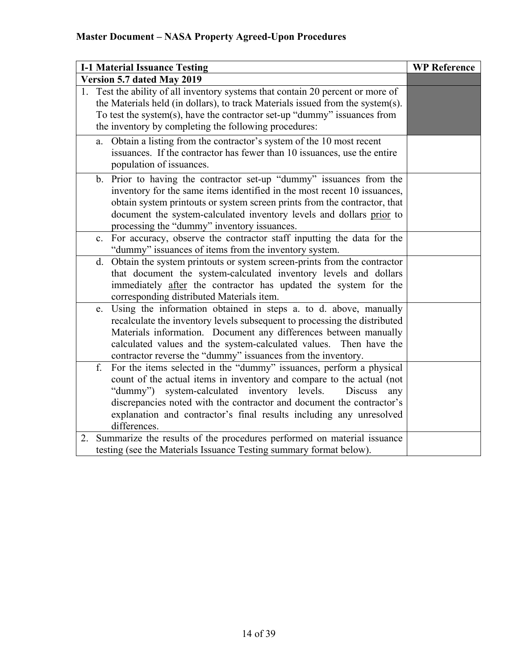| <b>I-1 Material Issuance Testing</b>                                                                                                                                                                                                                                                                                                                                                           | <b>WP Reference</b> |
|------------------------------------------------------------------------------------------------------------------------------------------------------------------------------------------------------------------------------------------------------------------------------------------------------------------------------------------------------------------------------------------------|---------------------|
| Version 5.7 dated May 2019                                                                                                                                                                                                                                                                                                                                                                     |                     |
| 1. Test the ability of all inventory systems that contain 20 percent or more of<br>the Materials held (in dollars), to track Materials issued from the system(s).<br>To test the system(s), have the contractor set-up "dummy" issuances from<br>the inventory by completing the following procedures:                                                                                         |                     |
| Obtain a listing from the contractor's system of the 10 most recent<br>a.<br>issuances. If the contractor has fewer than 10 issuances, use the entire<br>population of issuances.                                                                                                                                                                                                              |                     |
| b. Prior to having the contractor set-up "dummy" issuances from the<br>inventory for the same items identified in the most recent 10 issuances,<br>obtain system printouts or system screen prints from the contractor, that<br>document the system-calculated inventory levels and dollars prior to<br>processing the "dummy" inventory issuances.                                            |                     |
| c. For accuracy, observe the contractor staff inputting the data for the<br>"dummy" issuances of items from the inventory system.                                                                                                                                                                                                                                                              |                     |
| Obtain the system printouts or system screen-prints from the contractor<br>d.<br>that document the system-calculated inventory levels and dollars<br>immediately after the contractor has updated the system for the<br>corresponding distributed Materials item.                                                                                                                              |                     |
| Using the information obtained in steps a. to d. above, manually<br>e.<br>recalculate the inventory levels subsequent to processing the distributed<br>Materials information. Document any differences between manually<br>calculated values and the system-calculated values. Then have the<br>contractor reverse the "dummy" issuances from the inventory.                                   |                     |
| For the items selected in the "dummy" issuances, perform a physical<br>f.<br>count of the actual items in inventory and compare to the actual (not<br>system-calculated inventory levels.<br>"dummy")<br><b>Discuss</b><br>any<br>discrepancies noted with the contractor and document the contractor's<br>explanation and contractor's final results including any unresolved<br>differences. |                     |
| Summarize the results of the procedures performed on material issuance<br>2.<br>testing (see the Materials Issuance Testing summary format below).                                                                                                                                                                                                                                             |                     |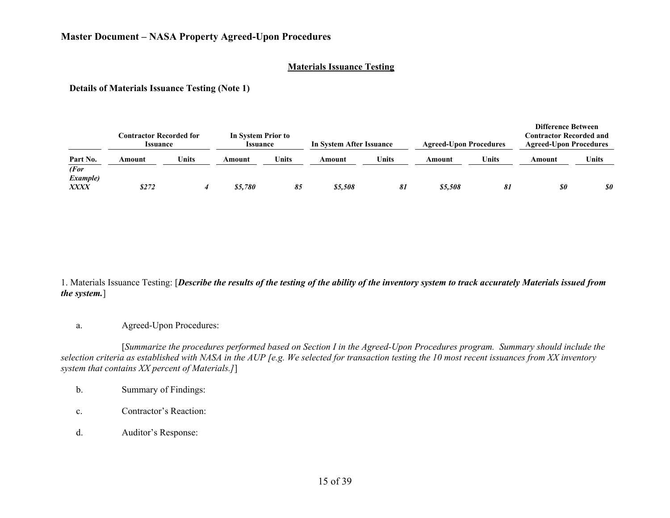#### **Materials Issuance Testing**

**Details of Materials Issuance Testing (Note 1)**

|                                 | <b>Contractor Recorded for</b><br><b>Issuance</b> |       | In System Prior to<br>Issuance |       | In System After Issuance |              | <b>Agreed-Upon Procedures</b> |       | <b>Difference Between</b><br><b>Contractor Recorded and</b><br><b>Agreed-Upon Procedures</b> |              |
|---------------------------------|---------------------------------------------------|-------|--------------------------------|-------|--------------------------|--------------|-------------------------------|-------|----------------------------------------------------------------------------------------------|--------------|
| Part No.<br>(For                | Amount                                            | Units | Amount                         | Units | Amount                   | <b>Units</b> | Amount                        | Units | Amount                                                                                       | <b>Units</b> |
| <i>Example</i> )<br><b>XXXX</b> | \$272                                             |       | \$5.780                        | 85    | \$5,508                  | 81           | \$5,508                       | 81    | $\boldsymbol{\mathit{s0}}$                                                                   | 80           |

1. Materials Issuance Testing: [*Describe the results of the testing of the ability of the inventory system to track accurately Materials issued from the system.*]

a. Agreed-Upon Procedures:

[*Summarize the procedures performed based on Section I in the Agreed-Upon Procedures program. Summary should include the selection criteria as established with NASA in the AUP [e.g. We selected for transaction testing the 10 most recent issuances from XX inventory system that contains XX percent of Materials.]*]

- b. Summary of Findings:
- c. Contractor's Reaction:
- d. Auditor's Response: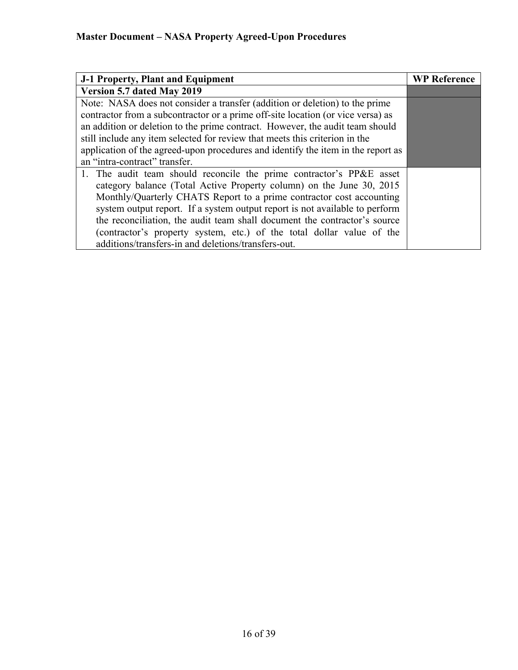| J-1 Property, Plant and Equipment                                                | <b>WP Reference</b> |
|----------------------------------------------------------------------------------|---------------------|
| Version 5.7 dated May 2019                                                       |                     |
| Note: NASA does not consider a transfer (addition or deletion) to the prime      |                     |
| contractor from a subcontractor or a prime off-site location (or vice versa) as  |                     |
| an addition or deletion to the prime contract. However, the audit team should    |                     |
| still include any item selected for review that meets this criterion in the      |                     |
| application of the agreed-upon procedures and identify the item in the report as |                     |
| an "intra-contract" transfer.                                                    |                     |
| 1. The audit team should reconcile the prime contractor's PP&E asset             |                     |
| category balance (Total Active Property column) on the June 30, 2015             |                     |
| Monthly/Quarterly CHATS Report to a prime contractor cost accounting             |                     |
| system output report. If a system output report is not available to perform      |                     |
| the reconciliation, the audit team shall document the contractor's source        |                     |
| (contractor's property system, etc.) of the total dollar value of the            |                     |
| additions/transfers-in and deletions/transfers-out.                              |                     |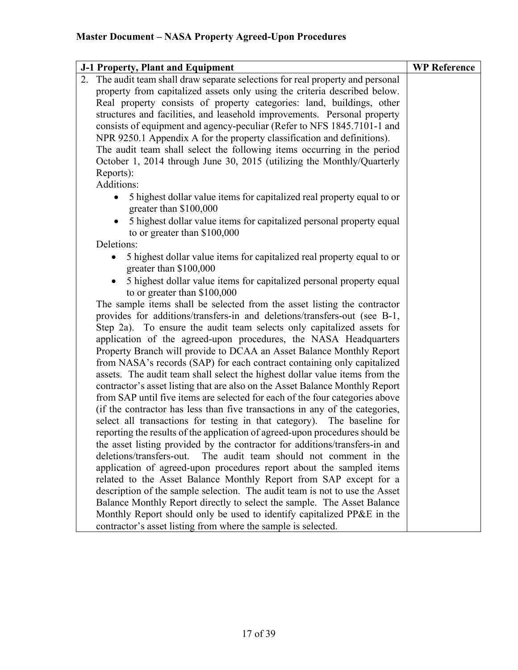| J-1 Property, Plant and Equipment                                                                                                                       | <b>WP Reference</b> |
|---------------------------------------------------------------------------------------------------------------------------------------------------------|---------------------|
| 2. The audit team shall draw separate selections for real property and personal                                                                         |                     |
| property from capitalized assets only using the criteria described below.                                                                               |                     |
| Real property consists of property categories: land, buildings, other                                                                                   |                     |
| structures and facilities, and leasehold improvements. Personal property                                                                                |                     |
| consists of equipment and agency-peculiar (Refer to NFS 1845.7101-1 and                                                                                 |                     |
| NPR 9250.1 Appendix A for the property classification and definitions).                                                                                 |                     |
| The audit team shall select the following items occurring in the period                                                                                 |                     |
| October 1, 2014 through June 30, 2015 (utilizing the Monthly/Quarterly                                                                                  |                     |
| Reports):                                                                                                                                               |                     |
| Additions:                                                                                                                                              |                     |
| 5 highest dollar value items for capitalized real property equal to or<br>greater than \$100,000                                                        |                     |
| 5 highest dollar value items for capitalized personal property equal<br>to or greater than \$100,000                                                    |                     |
| Deletions:                                                                                                                                              |                     |
| 5 highest dollar value items for capitalized real property equal to or<br>greater than \$100,000                                                        |                     |
| 5 highest dollar value items for capitalized personal property equal<br>to or greater than \$100,000                                                    |                     |
| The sample items shall be selected from the asset listing the contractor                                                                                |                     |
| provides for additions/transfers-in and deletions/transfers-out (see B-1,                                                                               |                     |
| Step 2a). To ensure the audit team selects only capitalized assets for                                                                                  |                     |
| application of the agreed-upon procedures, the NASA Headquarters                                                                                        |                     |
| Property Branch will provide to DCAA an Asset Balance Monthly Report                                                                                    |                     |
| from NASA's records (SAP) for each contract containing only capitalized                                                                                 |                     |
| assets. The audit team shall select the highest dollar value items from the                                                                             |                     |
| contractor's asset listing that are also on the Asset Balance Monthly Report                                                                            |                     |
| from SAP until five items are selected for each of the four categories above                                                                            |                     |
| (if the contractor has less than five transactions in any of the categories,                                                                            |                     |
| select all transactions for testing in that category). The baseline for<br>reporting the results of the application of agreed-upon procedures should be |                     |
| the asset listing provided by the contractor for additions/transfers-in and                                                                             |                     |
| deletions/transfers-out.<br>The audit team should not comment in the                                                                                    |                     |
| application of agreed-upon procedures report about the sampled items                                                                                    |                     |
| related to the Asset Balance Monthly Report from SAP except for a                                                                                       |                     |
| description of the sample selection. The audit team is not to use the Asset                                                                             |                     |
| Balance Monthly Report directly to select the sample. The Asset Balance                                                                                 |                     |
| Monthly Report should only be used to identify capitalized PP&E in the                                                                                  |                     |
| contractor's asset listing from where the sample is selected.                                                                                           |                     |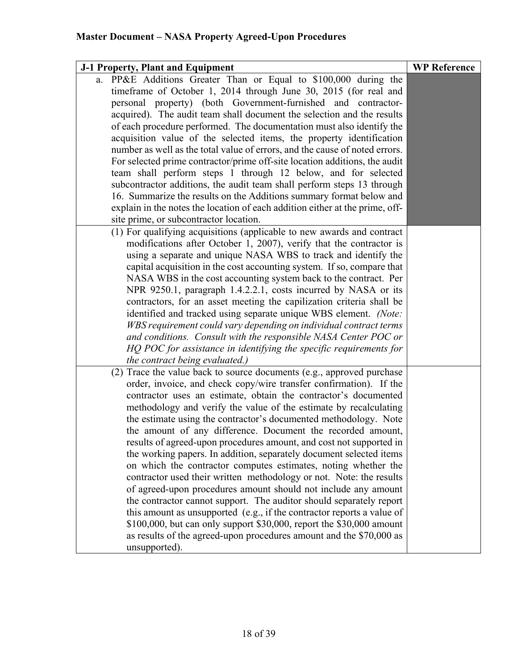| J-1 Property, Plant and Equipment                                            | <b>WP Reference</b> |
|------------------------------------------------------------------------------|---------------------|
| a. PP&E Additions Greater Than or Equal to \$100,000 during the              |                     |
| timeframe of October 1, 2014 through June 30, 2015 (for real and             |                     |
| personal property) (both Government-furnished and contractor-                |                     |
| acquired). The audit team shall document the selection and the results       |                     |
| of each procedure performed. The documentation must also identify the        |                     |
| acquisition value of the selected items, the property identification         |                     |
| number as well as the total value of errors, and the cause of noted errors.  |                     |
| For selected prime contractor/prime off-site location additions, the audit   |                     |
| team shall perform steps 1 through 12 below, and for selected                |                     |
| subcontractor additions, the audit team shall perform steps 13 through       |                     |
| 16. Summarize the results on the Additions summary format below and          |                     |
| explain in the notes the location of each addition either at the prime, off- |                     |
| site prime, or subcontractor location.                                       |                     |
| (1) For qualifying acquisitions (applicable to new awards and contract       |                     |
| modifications after October 1, 2007), verify that the contractor is          |                     |
| using a separate and unique NASA WBS to track and identify the               |                     |
| capital acquisition in the cost accounting system. If so, compare that       |                     |
| NASA WBS in the cost accounting system back to the contract. Per             |                     |
| NPR 9250.1, paragraph 1.4.2.2.1, costs incurred by NASA or its               |                     |
| contractors, for an asset meeting the capilization criteria shall be         |                     |
| identified and tracked using separate unique WBS element. (Note:             |                     |
| WBS requirement could vary depending on individual contract terms            |                     |
| and conditions. Consult with the responsible NASA Center POC or              |                     |
| HQ POC for assistance in identifying the specific requirements for           |                     |
| the contract being evaluated.)                                               |                     |
| (2) Trace the value back to source documents (e.g., approved purchase        |                     |
| order, invoice, and check copy/wire transfer confirmation). If the           |                     |
| contractor uses an estimate, obtain the contractor's documented              |                     |
| methodology and verify the value of the estimate by recalculating            |                     |
| the estimate using the contractor's documented methodology. Note             |                     |
| the amount of any difference. Document the recorded amount,                  |                     |
| results of agreed-upon procedures amount, and cost not supported in          |                     |
| the working papers. In addition, separately document selected items          |                     |
| on which the contractor computes estimates, noting whether the               |                     |
| contractor used their written methodology or not. Note: the results          |                     |
| of agreed-upon procedures amount should not include any amount               |                     |
| the contractor cannot support. The auditor should separately report          |                     |
| this amount as unsupported (e.g., if the contractor reports a value of       |                     |
| \$100,000, but can only support \$30,000, report the \$30,000 amount         |                     |
| as results of the agreed-upon procedures amount and the \$70,000 as          |                     |
| unsupported).                                                                |                     |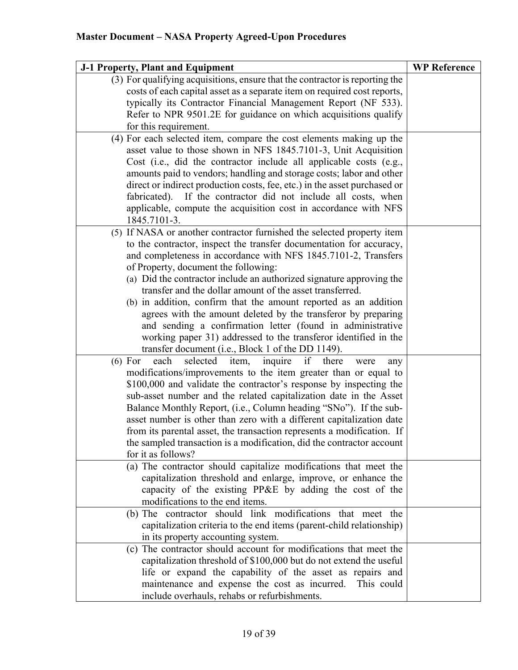| J-1 Property, Plant and Equipment                                                                                                          | <b>WP Reference</b> |
|--------------------------------------------------------------------------------------------------------------------------------------------|---------------------|
| (3) For qualifying acquisitions, ensure that the contractor is reporting the                                                               |                     |
| costs of each capital asset as a separate item on required cost reports,                                                                   |                     |
| typically its Contractor Financial Management Report (NF 533).                                                                             |                     |
| Refer to NPR 9501.2E for guidance on which acquisitions qualify                                                                            |                     |
| for this requirement.                                                                                                                      |                     |
| (4) For each selected item, compare the cost elements making up the                                                                        |                     |
| asset value to those shown in NFS 1845.7101-3, Unit Acquisition                                                                            |                     |
| Cost (i.e., did the contractor include all applicable costs (e.g.,<br>amounts paid to vendors; handling and storage costs; labor and other |                     |
| direct or indirect production costs, fee, etc.) in the asset purchased or                                                                  |                     |
| fabricated). If the contractor did not include all costs, when                                                                             |                     |
| applicable, compute the acquisition cost in accordance with NFS                                                                            |                     |
| 1845.7101-3.                                                                                                                               |                     |
| (5) If NASA or another contractor furnished the selected property item                                                                     |                     |
| to the contractor, inspect the transfer documentation for accuracy,                                                                        |                     |
| and completeness in accordance with NFS 1845.7101-2, Transfers                                                                             |                     |
| of Property, document the following:                                                                                                       |                     |
| (a) Did the contractor include an authorized signature approving the                                                                       |                     |
| transfer and the dollar amount of the asset transferred.                                                                                   |                     |
| (b) in addition, confirm that the amount reported as an addition                                                                           |                     |
| agrees with the amount deleted by the transferor by preparing                                                                              |                     |
| and sending a confirmation letter (found in administrative<br>working paper 31) addressed to the transferor identified in the              |                     |
| transfer document (i.e., Block 1 of the DD 1149).                                                                                          |                     |
| selected<br>if<br>there<br>each<br>item,<br>inquire<br>$(6)$ For<br>were<br>any                                                            |                     |
| modifications/improvements to the item greater than or equal to                                                                            |                     |
| \$100,000 and validate the contractor's response by inspecting the                                                                         |                     |
| sub-asset number and the related capitalization date in the Asset                                                                          |                     |
| Balance Monthly Report, (i.e., Column heading "SNo"). If the sub-                                                                          |                     |
| asset number is other than zero with a different capitalization date                                                                       |                     |
| from its parental asset, the transaction represents a modification. If                                                                     |                     |
| the sampled transaction is a modification, did the contractor account                                                                      |                     |
| for it as follows?                                                                                                                         |                     |
| (a) The contractor should capitalize modifications that meet the                                                                           |                     |
| capitalization threshold and enlarge, improve, or enhance the                                                                              |                     |
| capacity of the existing PP&E by adding the cost of the<br>modifications to the end items.                                                 |                     |
| (b) The contractor should link modifications that meet the                                                                                 |                     |
| capitalization criteria to the end items (parent-child relationship)                                                                       |                     |
| in its property accounting system.                                                                                                         |                     |
| (c) The contractor should account for modifications that meet the                                                                          |                     |
| capitalization threshold of \$100,000 but do not extend the useful                                                                         |                     |
| life or expand the capability of the asset as repairs and                                                                                  |                     |
| maintenance and expense the cost as incurred.<br>This could                                                                                |                     |
| include overhauls, rehabs or refurbishments.                                                                                               |                     |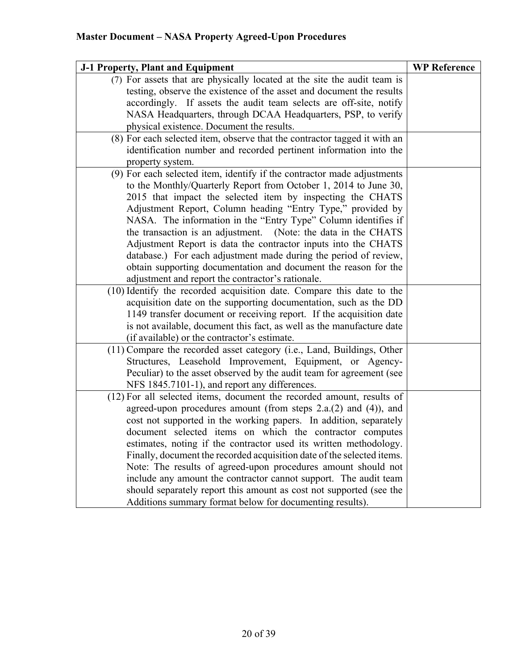| J-1 Property, Plant and Equipment                                         | <b>WP Reference</b> |
|---------------------------------------------------------------------------|---------------------|
| (7) For assets that are physically located at the site the audit team is  |                     |
| testing, observe the existence of the asset and document the results      |                     |
| accordingly. If assets the audit team selects are off-site, notify        |                     |
| NASA Headquarters, through DCAA Headquarters, PSP, to verify              |                     |
| physical existence. Document the results.                                 |                     |
| (8) For each selected item, observe that the contractor tagged it with an |                     |
| identification number and recorded pertinent information into the         |                     |
| property system.                                                          |                     |
| (9) For each selected item, identify if the contractor made adjustments   |                     |
| to the Monthly/Quarterly Report from October 1, 2014 to June 30,          |                     |
| 2015 that impact the selected item by inspecting the CHATS                |                     |
| Adjustment Report, Column heading "Entry Type," provided by               |                     |
| NASA. The information in the "Entry Type" Column identifies if            |                     |
| the transaction is an adjustment. (Note: the data in the CHATS            |                     |
| Adjustment Report is data the contractor inputs into the CHATS            |                     |
| database.) For each adjustment made during the period of review,          |                     |
| obtain supporting documentation and document the reason for the           |                     |
| adjustment and report the contractor's rationale.                         |                     |
| (10) Identify the recorded acquisition date. Compare this date to the     |                     |
| acquisition date on the supporting documentation, such as the DD          |                     |
| 1149 transfer document or receiving report. If the acquisition date       |                     |
| is not available, document this fact, as well as the manufacture date     |                     |
| (if available) or the contractor's estimate.                              |                     |
| (11) Compare the recorded asset category (i.e., Land, Buildings, Other    |                     |
| Structures, Leasehold Improvement, Equipment, or Agency-                  |                     |
| Peculiar) to the asset observed by the audit team for agreement (see      |                     |
| NFS 1845.7101-1), and report any differences.                             |                     |
| (12) For all selected items, document the recorded amount, results of     |                     |
| agreed-upon procedures amount (from steps 2.a.(2) and (4)), and           |                     |
| cost not supported in the working papers. In addition, separately         |                     |
| document selected items on which the contractor computes                  |                     |
| estimates, noting if the contractor used its written methodology.         |                     |
| Finally, document the recorded acquisition date of the selected items.    |                     |
| Note: The results of agreed-upon procedures amount should not             |                     |
| include any amount the contractor cannot support. The audit team          |                     |
| should separately report this amount as cost not supported (see the       |                     |
| Additions summary format below for documenting results).                  |                     |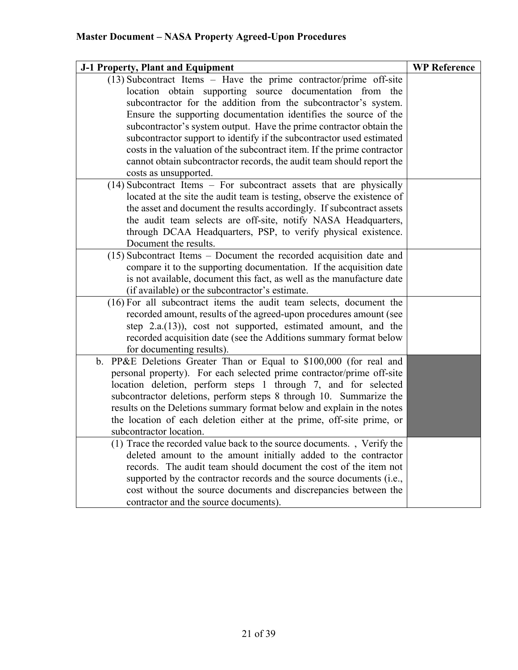| $(13)$ Subcontract Items - Have the prime contractor/prime off-site<br>location obtain supporting source documentation from the         |
|-----------------------------------------------------------------------------------------------------------------------------------------|
|                                                                                                                                         |
|                                                                                                                                         |
| subcontractor for the addition from the subcontractor's system.                                                                         |
| Ensure the supporting documentation identifies the source of the                                                                        |
| subcontractor's system output. Have the prime contractor obtain the                                                                     |
| subcontractor support to identify if the subcontractor used estimated                                                                   |
| costs in the valuation of the subcontract item. If the prime contractor                                                                 |
| cannot obtain subcontractor records, the audit team should report the                                                                   |
| costs as unsupported.                                                                                                                   |
| (14) Subcontract Items - For subcontract assets that are physically                                                                     |
| located at the site the audit team is testing, observe the existence of                                                                 |
| the asset and document the results accordingly. If subcontract assets                                                                   |
| the audit team selects are off-site, notify NASA Headquarters,                                                                          |
| through DCAA Headquarters, PSP, to verify physical existence.                                                                           |
| Document the results.                                                                                                                   |
| (15) Subcontract Items – Document the recorded acquisition date and                                                                     |
| compare it to the supporting documentation. If the acquisition date                                                                     |
| is not available, document this fact, as well as the manufacture date                                                                   |
| (if available) or the subcontractor's estimate.                                                                                         |
| (16) For all subcontract items the audit team selects, document the                                                                     |
| recorded amount, results of the agreed-upon procedures amount (see                                                                      |
| step 2.a.(13)), cost not supported, estimated amount, and the                                                                           |
| recorded acquisition date (see the Additions summary format below                                                                       |
| for documenting results).                                                                                                               |
| PP&E Deletions Greater Than or Equal to \$100,000 (for real and<br>b.                                                                   |
| personal property). For each selected prime contractor/prime off-site                                                                   |
| location deletion, perform steps 1 through 7, and for selected                                                                          |
| subcontractor deletions, perform steps 8 through 10. Summarize the                                                                      |
| results on the Deletions summary format below and explain in the notes                                                                  |
| the location of each deletion either at the prime, off-site prime, or                                                                   |
| subcontractor location.                                                                                                                 |
| (1) Trace the recorded value back to the source documents., Verify the                                                                  |
| deleted amount to the amount initially added to the contractor                                                                          |
| records. The audit team should document the cost of the item not<br>supported by the contractor records and the source documents (i.e., |
| cost without the source documents and discrepancies between the                                                                         |
| contractor and the source documents).                                                                                                   |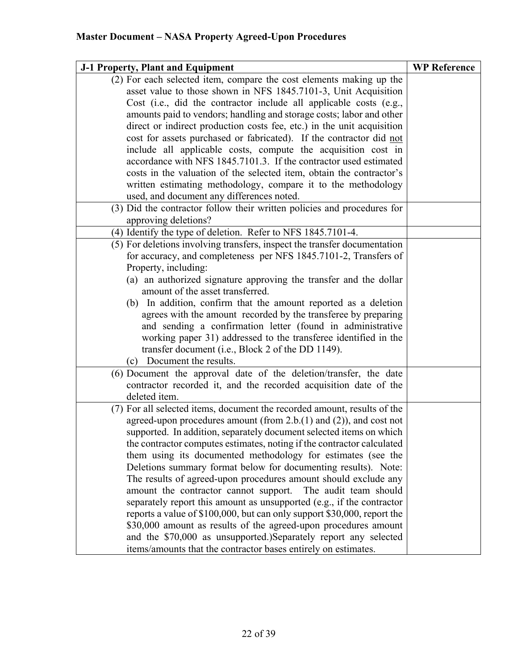| J-1 Property, Plant and Equipment                                         | <b>WP Reference</b> |
|---------------------------------------------------------------------------|---------------------|
| (2) For each selected item, compare the cost elements making up the       |                     |
| asset value to those shown in NFS 1845.7101-3, Unit Acquisition           |                     |
| Cost (i.e., did the contractor include all applicable costs (e.g.,        |                     |
| amounts paid to vendors; handling and storage costs; labor and other      |                     |
| direct or indirect production costs fee, etc.) in the unit acquisition    |                     |
| cost for assets purchased or fabricated). If the contractor did not       |                     |
| include all applicable costs, compute the acquisition cost in             |                     |
| accordance with NFS 1845.7101.3. If the contractor used estimated         |                     |
| costs in the valuation of the selected item, obtain the contractor's      |                     |
| written estimating methodology, compare it to the methodology             |                     |
| used, and document any differences noted.                                 |                     |
| (3) Did the contractor follow their written policies and procedures for   |                     |
| approving deletions?                                                      |                     |
| (4) Identify the type of deletion. Refer to NFS 1845.7101-4.              |                     |
| (5) For deletions involving transfers, inspect the transfer documentation |                     |
| for accuracy, and completeness per NFS 1845.7101-2, Transfers of          |                     |
| Property, including:                                                      |                     |
| (a) an authorized signature approving the transfer and the dollar         |                     |
| amount of the asset transferred.                                          |                     |
| (b) In addition, confirm that the amount reported as a deletion           |                     |
| agrees with the amount recorded by the transferee by preparing            |                     |
| and sending a confirmation letter (found in administrative                |                     |
| working paper 31) addressed to the transferee identified in the           |                     |
| transfer document (i.e., Block 2 of the DD 1149).                         |                     |
| (c) Document the results.                                                 |                     |
| (6) Document the approval date of the deletion/transfer, the date         |                     |
| contractor recorded it, and the recorded acquisition date of the          |                     |
| deleted item.                                                             |                     |
| (7) For all selected items, document the recorded amount, results of the  |                     |
| agreed-upon procedures amount (from $2.b.(1)$ and $(2)$ ), and cost not   |                     |
| supported. In addition, separately document selected items on which       |                     |
| the contractor computes estimates, noting if the contractor calculated    |                     |
| them using its documented methodology for estimates (see the              |                     |
| Deletions summary format below for documenting results). Note:            |                     |
| The results of agreed-upon procedures amount should exclude any           |                     |
| amount the contractor cannot support. The audit team should               |                     |
| separately report this amount as unsupported (e.g., if the contractor     |                     |
| reports a value of \$100,000, but can only support \$30,000, report the   |                     |
| \$30,000 amount as results of the agreed-upon procedures amount           |                     |
| and the \$70,000 as unsupported.)Separately report any selected           |                     |
| items/amounts that the contractor bases entirely on estimates.            |                     |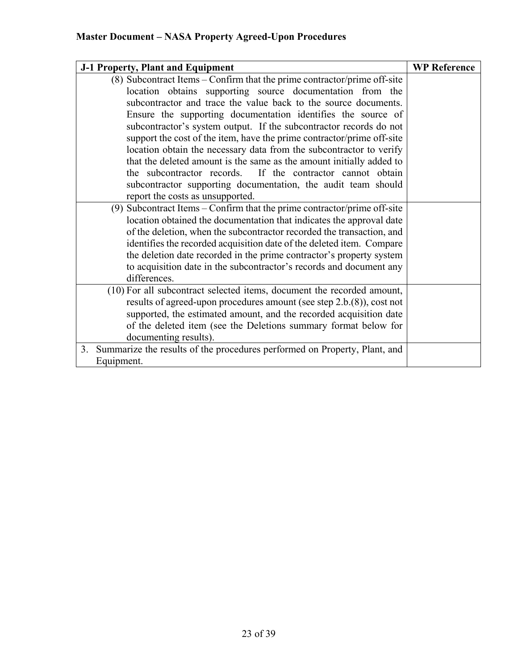| J-1 Property, Plant and Equipment                                            | <b>WP Reference</b> |
|------------------------------------------------------------------------------|---------------------|
| (8) Subcontract Items - Confirm that the prime contractor/prime off-site     |                     |
| location obtains supporting source documentation from the                    |                     |
| subcontractor and trace the value back to the source documents.              |                     |
| Ensure the supporting documentation identifies the source of                 |                     |
| subcontractor's system output. If the subcontractor records do not           |                     |
| support the cost of the item, have the prime contractor/prime off-site       |                     |
| location obtain the necessary data from the subcontractor to verify          |                     |
| that the deleted amount is the same as the amount initially added to         |                     |
| If the contractor cannot obtain<br>the subcontractor records.                |                     |
| subcontractor supporting documentation, the audit team should                |                     |
| report the costs as unsupported.                                             |                     |
| (9) Subcontract Items – Confirm that the prime contractor/prime off-site     |                     |
| location obtained the documentation that indicates the approval date         |                     |
| of the deletion, when the subcontractor recorded the transaction, and        |                     |
| identifies the recorded acquisition date of the deleted item. Compare        |                     |
| the deletion date recorded in the prime contractor's property system         |                     |
| to acquisition date in the subcontractor's records and document any          |                     |
| differences.                                                                 |                     |
| (10) For all subcontract selected items, document the recorded amount,       |                     |
| results of agreed-upon procedures amount (see step 2.b.(8)), cost not        |                     |
| supported, the estimated amount, and the recorded acquisition date           |                     |
| of the deleted item (see the Deletions summary format below for              |                     |
| documenting results).                                                        |                     |
| 3. Summarize the results of the procedures performed on Property, Plant, and |                     |
| Equipment.                                                                   |                     |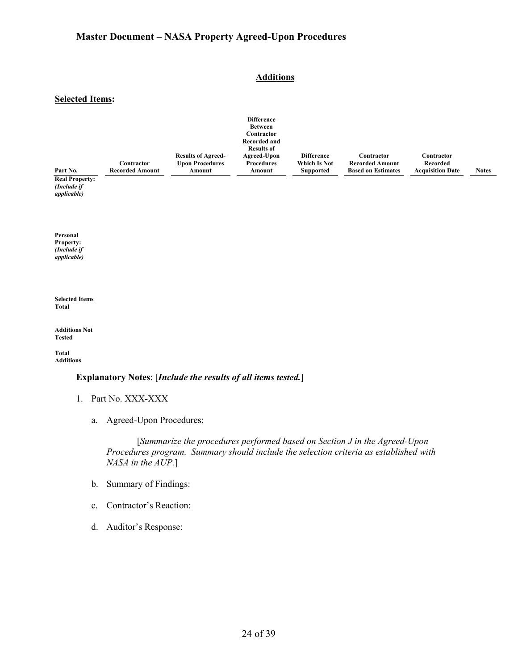### **Additions**

#### **Selected Items:**

| Part No.<br><b>Real Property:</b><br>(Include if<br>applicable) | Contractor<br><b>Recorded Amount</b> | <b>Results of Agreed-</b><br><b>Upon Procedures</b><br>Amount | <b>Difference</b><br><b>Between</b><br>Contractor<br><b>Recorded and</b><br><b>Results of</b><br>Agreed-Upon<br><b>Procedures</b><br>Amount | <b>Difference</b><br>Which Is Not<br><b>Supported</b> | Contractor<br><b>Recorded Amount</b><br><b>Based on Estimates</b> | Contractor<br>Recorded<br><b>Acquisition Date</b> | <b>Notes</b> |
|-----------------------------------------------------------------|--------------------------------------|---------------------------------------------------------------|---------------------------------------------------------------------------------------------------------------------------------------------|-------------------------------------------------------|-------------------------------------------------------------------|---------------------------------------------------|--------------|
| Personal<br>Property:<br>(Include if<br>applicable)             |                                      |                                                               |                                                                                                                                             |                                                       |                                                                   |                                                   |              |
| <b>Selected Items</b><br>Total                                  |                                      |                                                               |                                                                                                                                             |                                                       |                                                                   |                                                   |              |
| <b>Additions Not</b><br><b>Tested</b>                           |                                      |                                                               |                                                                                                                                             |                                                       |                                                                   |                                                   |              |
| <b>Total</b><br><b>Additions</b>                                |                                      |                                                               |                                                                                                                                             |                                                       |                                                                   |                                                   |              |
|                                                                 |                                      |                                                               |                                                                                                                                             |                                                       |                                                                   |                                                   |              |

### **Explanatory Notes**: [*Include the results of all items tested.*]

- 1. Part No. XXX-XXX
	- a. Agreed-Upon Procedures:

[*Summarize the procedures performed based on Section J in the Agreed-Upon Procedures program. Summary should include the selection criteria as established with NASA in the AUP.*]

- b. Summary of Findings:
- c. Contractor's Reaction:
- d. Auditor's Response: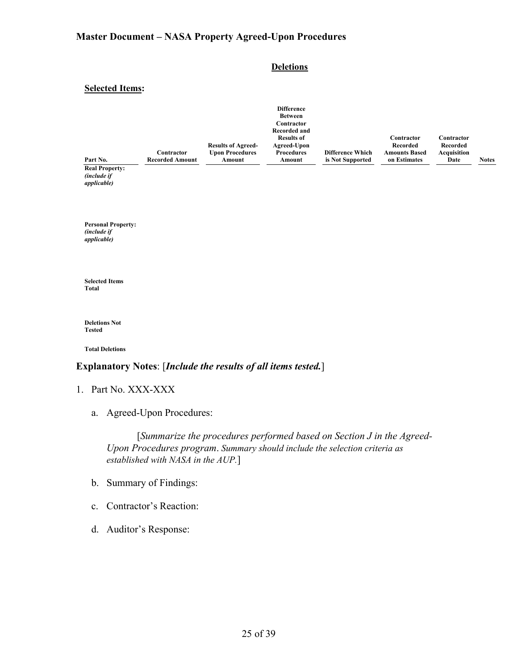#### **Deletions**

#### **Selected Items:**

|                |                        |                           | <b>Difference</b> |                         |                      |             |              |
|----------------|------------------------|---------------------------|-------------------|-------------------------|----------------------|-------------|--------------|
|                |                        |                           | <b>Between</b>    |                         |                      |             |              |
|                |                        |                           | Contractor        |                         |                      |             |              |
|                |                        |                           | Recorded and      |                         |                      |             |              |
|                |                        |                           | <b>Results of</b> |                         | Contractor           | Contractor  |              |
|                |                        | <b>Results of Agreed-</b> | Agreed-Upon       |                         | Recorded             | Recorded    |              |
|                | Contractor             | <b>Upon Procedures</b>    | <b>Procedures</b> | <b>Difference Which</b> | <b>Amounts Based</b> | Acquisition |              |
| Part No.       | <b>Recorded Amount</b> | Amount                    | Amount            | is Not Supported        | on Estimates         | Date        | <b>Notes</b> |
| Dool Dronorty: |                        |                           |                   |                         |                      |             |              |

**Real Property:** *(include if applicable)*

**Personal Property:** *(include if applicable)*

**Selected Items Total**

**Deletions Not Tested**

**Total Deletions**

#### **Explanatory Notes**: [*Include the results of all items tested.*]

- 1. Part No. XXX-XXX
	- a. Agreed-Upon Procedures:

[*Summarize the procedures performed based on Section J in the Agreed-Upon Procedures program*. *Summary should include the selection criteria as established with NASA in the AUP.*]

- b. Summary of Findings:
- c. Contractor's Reaction:
- d. Auditor's Response: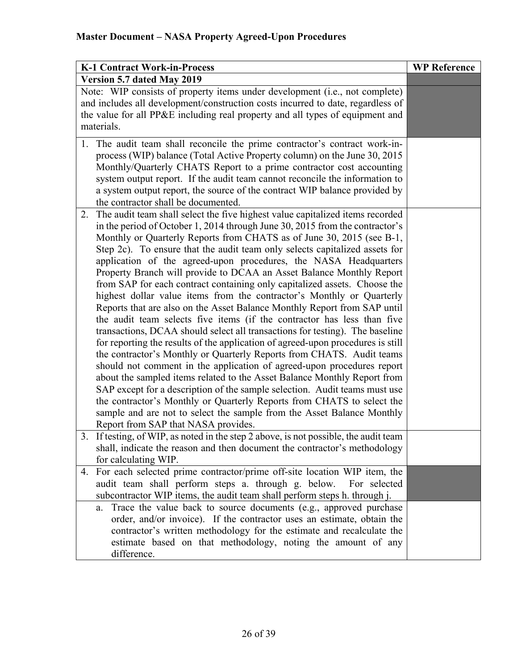| <b>K-1 Contract Work-in-Process</b>                                                                                                                                                                                                                                                                                                                                                                                                                                                                                                                                                                                                                                                                                                                                                                                                                                                                                                                                                                                                                                                                                                                                                                                                                                                                                                                                                                                                                             | <b>WP Reference</b> |
|-----------------------------------------------------------------------------------------------------------------------------------------------------------------------------------------------------------------------------------------------------------------------------------------------------------------------------------------------------------------------------------------------------------------------------------------------------------------------------------------------------------------------------------------------------------------------------------------------------------------------------------------------------------------------------------------------------------------------------------------------------------------------------------------------------------------------------------------------------------------------------------------------------------------------------------------------------------------------------------------------------------------------------------------------------------------------------------------------------------------------------------------------------------------------------------------------------------------------------------------------------------------------------------------------------------------------------------------------------------------------------------------------------------------------------------------------------------------|---------------------|
| Version 5.7 dated May 2019                                                                                                                                                                                                                                                                                                                                                                                                                                                                                                                                                                                                                                                                                                                                                                                                                                                                                                                                                                                                                                                                                                                                                                                                                                                                                                                                                                                                                                      |                     |
| Note: WIP consists of property items under development (i.e., not complete)<br>and includes all development/construction costs incurred to date, regardless of<br>the value for all PP&E including real property and all types of equipment and<br>materials.                                                                                                                                                                                                                                                                                                                                                                                                                                                                                                                                                                                                                                                                                                                                                                                                                                                                                                                                                                                                                                                                                                                                                                                                   |                     |
| 1. The audit team shall reconcile the prime contractor's contract work-in-<br>process (WIP) balance (Total Active Property column) on the June 30, 2015<br>Monthly/Quarterly CHATS Report to a prime contractor cost accounting<br>system output report. If the audit team cannot reconcile the information to<br>a system output report, the source of the contract WIP balance provided by<br>the contractor shall be documented.                                                                                                                                                                                                                                                                                                                                                                                                                                                                                                                                                                                                                                                                                                                                                                                                                                                                                                                                                                                                                             |                     |
| The audit team shall select the five highest value capitalized items recorded<br>2.<br>in the period of October 1, 2014 through June 30, 2015 from the contractor's<br>Monthly or Quarterly Reports from CHATS as of June 30, 2015 (see B-1,<br>Step 2c). To ensure that the audit team only selects capitalized assets for<br>application of the agreed-upon procedures, the NASA Headquarters<br>Property Branch will provide to DCAA an Asset Balance Monthly Report<br>from SAP for each contract containing only capitalized assets. Choose the<br>highest dollar value items from the contractor's Monthly or Quarterly<br>Reports that are also on the Asset Balance Monthly Report from SAP until<br>the audit team selects five items (if the contractor has less than five<br>transactions, DCAA should select all transactions for testing). The baseline<br>for reporting the results of the application of agreed-upon procedures is still<br>the contractor's Monthly or Quarterly Reports from CHATS. Audit teams<br>should not comment in the application of agreed-upon procedures report<br>about the sampled items related to the Asset Balance Monthly Report from<br>SAP except for a description of the sample selection. Audit teams must use<br>the contractor's Monthly or Quarterly Reports from CHATS to select the<br>sample and are not to select the sample from the Asset Balance Monthly<br>Report from SAP that NASA provides. |                     |
| If testing, of WIP, as noted in the step 2 above, is not possible, the audit team<br>3.<br>shall, indicate the reason and then document the contractor's methodology<br>for calculating WIP.                                                                                                                                                                                                                                                                                                                                                                                                                                                                                                                                                                                                                                                                                                                                                                                                                                                                                                                                                                                                                                                                                                                                                                                                                                                                    |                     |
| For each selected prime contractor/prime off-site location WIP item, the<br>4.<br>audit team shall perform steps a. through g. below.<br>For selected<br>subcontractor WIP items, the audit team shall perform steps h. through j.                                                                                                                                                                                                                                                                                                                                                                                                                                                                                                                                                                                                                                                                                                                                                                                                                                                                                                                                                                                                                                                                                                                                                                                                                              |                     |
| Trace the value back to source documents (e.g., approved purchase<br>a.<br>order, and/or invoice). If the contractor uses an estimate, obtain the<br>contractor's written methodology for the estimate and recalculate the<br>estimate based on that methodology, noting the amount of any<br>difference.                                                                                                                                                                                                                                                                                                                                                                                                                                                                                                                                                                                                                                                                                                                                                                                                                                                                                                                                                                                                                                                                                                                                                       |                     |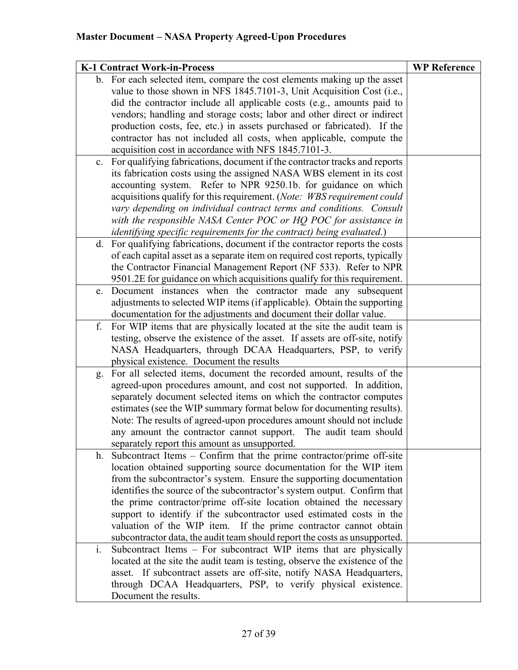|    | <b>K-1 Contract Work-in-Process</b>                                                                                     | <b>WP Reference</b> |
|----|-------------------------------------------------------------------------------------------------------------------------|---------------------|
|    | b. For each selected item, compare the cost elements making up the asset                                                |                     |
|    | value to those shown in NFS 1845.7101-3, Unit Acquisition Cost (i.e.,                                                   |                     |
|    | did the contractor include all applicable costs (e.g., amounts paid to                                                  |                     |
|    | vendors; handling and storage costs; labor and other direct or indirect                                                 |                     |
|    | production costs, fee, etc.) in assets purchased or fabricated). If the                                                 |                     |
|    | contractor has not included all costs, when applicable, compute the                                                     |                     |
|    | acquisition cost in accordance with NFS 1845.7101-3.                                                                    |                     |
| c. | For qualifying fabrications, document if the contractor tracks and reports                                              |                     |
|    | its fabrication costs using the assigned NASA WBS element in its cost                                                   |                     |
|    | accounting system. Refer to NPR 9250.1b. for guidance on which                                                          |                     |
|    | acquisitions qualify for this requirement. (Note: WBS requirement could                                                 |                     |
|    | vary depending on individual contract terms and conditions. Consult                                                     |                     |
|    | with the responsible NASA Center POC or HQ POC for assistance in                                                        |                     |
|    | identifying specific requirements for the contract) being evaluated.)                                                   |                     |
|    | d. For qualifying fabrications, document if the contractor reports the costs                                            |                     |
|    | of each capital asset as a separate item on required cost reports, typically                                            |                     |
|    | the Contractor Financial Management Report (NF 533). Refer to NPR                                                       |                     |
|    | 9501.2E for guidance on which acquisitions qualify for this requirement.                                                |                     |
| e. | Document instances when the contractor made any subsequent                                                              |                     |
|    | adjustments to selected WIP items (if applicable). Obtain the supporting                                                |                     |
|    | documentation for the adjustments and document their dollar value.                                                      |                     |
| f. | For WIP items that are physically located at the site the audit team is                                                 |                     |
|    | testing, observe the existence of the asset. If assets are off-site, notify                                             |                     |
|    | NASA Headquarters, through DCAA Headquarters, PSP, to verify                                                            |                     |
|    | physical existence. Document the results                                                                                |                     |
|    | g. For all selected items, document the recorded amount, results of the                                                 |                     |
|    | agreed-upon procedures amount, and cost not supported. In addition,                                                     |                     |
|    | separately document selected items on which the contractor computes                                                     |                     |
|    | estimates (see the WIP summary format below for documenting results).                                                   |                     |
|    | Note: The results of agreed-upon procedures amount should not include                                                   |                     |
|    | any amount the contractor cannot support. The audit team should                                                         |                     |
|    | separately report this amount as unsupported.<br>Subcontract Items $-$ Confirm that the prime contractor/prime off-site |                     |
| h. | location obtained supporting source documentation for the WIP item                                                      |                     |
|    | from the subcontractor's system. Ensure the supporting documentation                                                    |                     |
|    | identifies the source of the subcontractor's system output. Confirm that                                                |                     |
|    | the prime contractor/prime off-site location obtained the necessary                                                     |                     |
|    | support to identify if the subcontractor used estimated costs in the                                                    |                     |
|    | valuation of the WIP item. If the prime contractor cannot obtain                                                        |                     |
|    | subcontractor data, the audit team should report the costs as unsupported.                                              |                     |
| i. | Subcontract Items – For subcontract WIP items that are physically                                                       |                     |
|    | located at the site the audit team is testing, observe the existence of the                                             |                     |
|    | asset. If subcontract assets are off-site, notify NASA Headquarters,                                                    |                     |
|    | through DCAA Headquarters, PSP, to verify physical existence.                                                           |                     |
|    | Document the results.                                                                                                   |                     |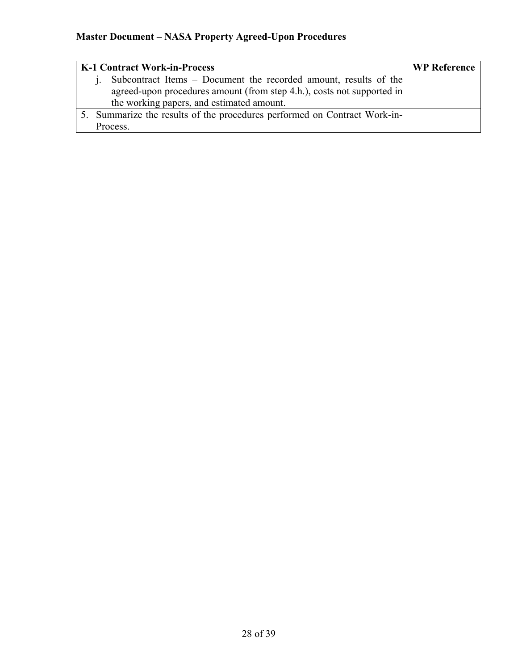| <b>K-1 Contract Work-in-Process</b>                                       | <b>WP Reference</b> |
|---------------------------------------------------------------------------|---------------------|
| Subcontract Items - Document the recorded amount, results of the          |                     |
| agreed-upon procedures amount (from step 4.h.), costs not supported in    |                     |
| the working papers, and estimated amount.                                 |                     |
| 5. Summarize the results of the procedures performed on Contract Work-in- |                     |
| Process.                                                                  |                     |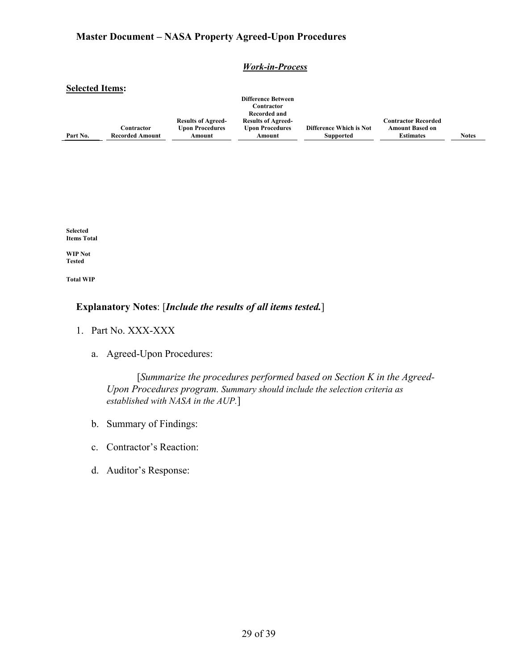#### *Work-in-Process*

#### **Selected Items:**

| Part No. | Contractor<br><b>Recorded Amount</b> | <b>Results of Agreed-</b><br><b>Upon Procedures</b><br>Amount | <b>Difference Between</b><br>Contractor<br>Recorded and<br><b>Results of Agreed-</b><br><b>Upon Procedures</b><br>Amount | <b>Difference Which is Not</b><br><b>Supported</b> | <b>Contractor Recorded</b><br><b>Amount Based on</b><br><b>Estimates</b> | <b>Notes</b> |
|----------|--------------------------------------|---------------------------------------------------------------|--------------------------------------------------------------------------------------------------------------------------|----------------------------------------------------|--------------------------------------------------------------------------|--------------|
|----------|--------------------------------------|---------------------------------------------------------------|--------------------------------------------------------------------------------------------------------------------------|----------------------------------------------------|--------------------------------------------------------------------------|--------------|

**Selected Items Total**

**WIP Not Tested**

**Total WIP**

### **Explanatory Notes**: [*Include the results of all items tested.*]

- 1. Part No. XXX-XXX
	- a. Agreed-Upon Procedures:

[*Summarize the procedures performed based on Section K in the Agreed-Upon Procedures program. Summary should include the selection criteria as established with NASA in the AUP.*]

- b. Summary of Findings:
- c. Contractor's Reaction:
- d. Auditor's Response: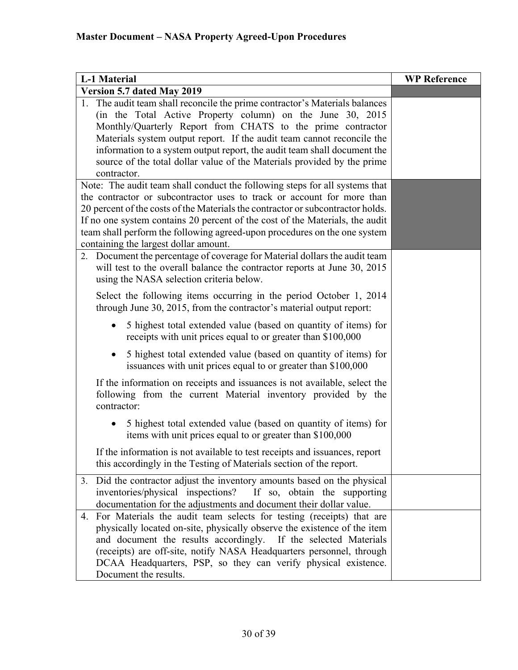| <b>L-1 Material</b>                                                                                                                                                                                                                                                                                                                                                                                                                                      | <b>WP Reference</b> |
|----------------------------------------------------------------------------------------------------------------------------------------------------------------------------------------------------------------------------------------------------------------------------------------------------------------------------------------------------------------------------------------------------------------------------------------------------------|---------------------|
| Version 5.7 dated May 2019                                                                                                                                                                                                                                                                                                                                                                                                                               |                     |
| 1. The audit team shall reconcile the prime contractor's Materials balances<br>(in the Total Active Property column) on the June 30, 2015<br>Monthly/Quarterly Report from CHATS to the prime contractor<br>Materials system output report. If the audit team cannot reconcile the<br>information to a system output report, the audit team shall document the<br>source of the total dollar value of the Materials provided by the prime<br>contractor. |                     |
| Note: The audit team shall conduct the following steps for all systems that<br>the contractor or subcontractor uses to track or account for more than<br>20 percent of the costs of the Materials the contractor or subcontractor holds.<br>If no one system contains 20 percent of the cost of the Materials, the audit<br>team shall perform the following agreed-upon procedures on the one system<br>containing the largest dollar amount.           |                     |
| 2. Document the percentage of coverage for Material dollars the audit team<br>will test to the overall balance the contractor reports at June 30, 2015<br>using the NASA selection criteria below.                                                                                                                                                                                                                                                       |                     |
| Select the following items occurring in the period October 1, 2014<br>through June 30, 2015, from the contractor's material output report:                                                                                                                                                                                                                                                                                                               |                     |
| 5 highest total extended value (based on quantity of items) for<br>receipts with unit prices equal to or greater than \$100,000                                                                                                                                                                                                                                                                                                                          |                     |
| 5 highest total extended value (based on quantity of items) for<br>issuances with unit prices equal to or greater than \$100,000                                                                                                                                                                                                                                                                                                                         |                     |
| If the information on receipts and issuances is not available, select the<br>following from the current Material inventory provided by the<br>contractor:                                                                                                                                                                                                                                                                                                |                     |
| 5 highest total extended value (based on quantity of items) for<br>$\bullet$<br>items with unit prices equal to or greater than \$100,000                                                                                                                                                                                                                                                                                                                |                     |
| If the information is not available to test receipts and issuances, report<br>this accordingly in the Testing of Materials section of the report.                                                                                                                                                                                                                                                                                                        |                     |
| Did the contractor adjust the inventory amounts based on the physical<br>3.<br>If so, obtain the supporting<br>inventories/physical inspections?<br>documentation for the adjustments and document their dollar value.                                                                                                                                                                                                                                   |                     |
| For Materials the audit team selects for testing (receipts) that are<br>4.<br>physically located on-site, physically observe the existence of the item<br>and document the results accordingly. If the selected Materials<br>(receipts) are off-site, notify NASA Headquarters personnel, through<br>DCAA Headquarters, PSP, so they can verify physical existence.<br>Document the results.                                                             |                     |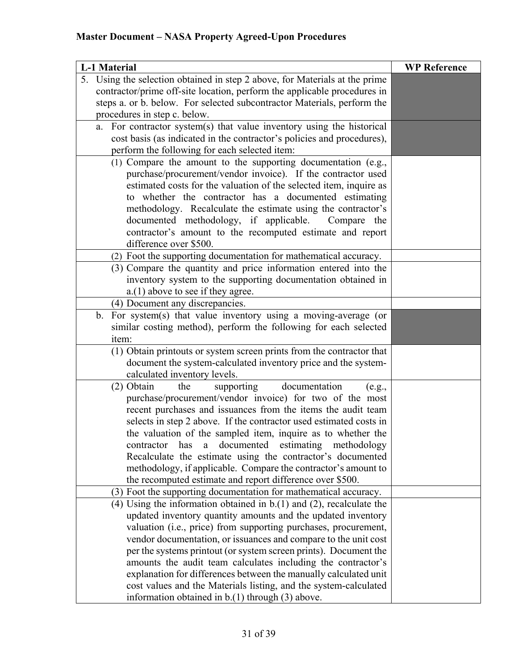| <b>L-1 Material</b>                                                                                                                     | <b>WP Reference</b> |
|-----------------------------------------------------------------------------------------------------------------------------------------|---------------------|
| 5. Using the selection obtained in step 2 above, for Materials at the prime                                                             |                     |
| contractor/prime off-site location, perform the applicable procedures in                                                                |                     |
| steps a. or b. below. For selected subcontractor Materials, perform the                                                                 |                     |
| procedures in step c. below.                                                                                                            |                     |
| For contractor system(s) that value inventory using the historical<br>a.                                                                |                     |
| cost basis (as indicated in the contractor's policies and procedures),                                                                  |                     |
| perform the following for each selected item:                                                                                           |                     |
| (1) Compare the amount to the supporting documentation (e.g.,                                                                           |                     |
| purchase/procurement/vendor invoice). If the contractor used                                                                            |                     |
| estimated costs for the valuation of the selected item, inquire as                                                                      |                     |
| to whether the contractor has a documented estimating                                                                                   |                     |
| methodology. Recalculate the estimate using the contractor's                                                                            |                     |
| documented methodology, if applicable.<br>Compare the                                                                                   |                     |
| contractor's amount to the recomputed estimate and report                                                                               |                     |
| difference over \$500.                                                                                                                  |                     |
| (2) Foot the supporting documentation for mathematical accuracy.                                                                        |                     |
| (3) Compare the quantity and price information entered into the                                                                         |                     |
| inventory system to the supporting documentation obtained in                                                                            |                     |
| a.(1) above to see if they agree.                                                                                                       |                     |
| (4) Document any discrepancies.                                                                                                         |                     |
| For system(s) that value inventory using a moving-average (or<br>$\mathbf{b}$ .                                                         |                     |
| similar costing method), perform the following for each selected                                                                        |                     |
| item:                                                                                                                                   |                     |
| (1) Obtain printouts or system screen prints from the contractor that<br>document the system-calculated inventory price and the system- |                     |
| calculated inventory levels.                                                                                                            |                     |
| (2) Obtain<br>the<br>documentation<br>supporting                                                                                        |                     |
| (e.g.,<br>purchase/procurement/vendor invoice) for two of the most                                                                      |                     |
| recent purchases and issuances from the items the audit team                                                                            |                     |
| selects in step 2 above. If the contractor used estimated costs in                                                                      |                     |
| the valuation of the sampled item, inquire as to whether the                                                                            |                     |
| documented estimating methodology<br>has<br>contractor<br>$\mathbf{a}$                                                                  |                     |
| Recalculate the estimate using the contractor's documented                                                                              |                     |
| methodology, if applicable. Compare the contractor's amount to                                                                          |                     |
| the recomputed estimate and report difference over \$500.                                                                               |                     |
| (3) Foot the supporting documentation for mathematical accuracy.                                                                        |                     |
| (4) Using the information obtained in $b(1)$ and (2), recalculate the                                                                   |                     |
| updated inventory quantity amounts and the updated inventory                                                                            |                     |
| valuation (i.e., price) from supporting purchases, procurement,                                                                         |                     |
| vendor documentation, or issuances and compare to the unit cost                                                                         |                     |
| per the systems printout (or system screen prints). Document the                                                                        |                     |
| amounts the audit team calculates including the contractor's                                                                            |                     |
| explanation for differences between the manually calculated unit                                                                        |                     |
| cost values and the Materials listing, and the system-calculated                                                                        |                     |
| information obtained in $b(1)$ through (3) above.                                                                                       |                     |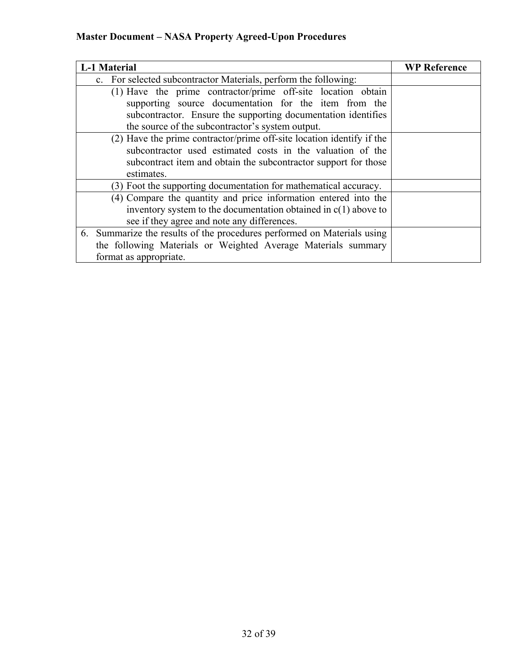| <b>L-1 Material</b>                                                     | <b>WP Reference</b> |
|-------------------------------------------------------------------------|---------------------|
| c. For selected subcontractor Materials, perform the following:         |                     |
| (1) Have the prime contractor/prime off-site location obtain            |                     |
| supporting source documentation for the item from the                   |                     |
| subcontractor. Ensure the supporting documentation identifies           |                     |
| the source of the subcontractor's system output.                        |                     |
| $(2)$ Have the prime contractor/prime off-site location identify if the |                     |
| subcontractor used estimated costs in the valuation of the              |                     |
| subcontract item and obtain the subcontractor support for those         |                     |
| estimates.                                                              |                     |
| (3) Foot the supporting documentation for mathematical accuracy.        |                     |
| (4) Compare the quantity and price information entered into the         |                     |
| inventory system to the documentation obtained in $c(1)$ above to       |                     |
| see if they agree and note any differences.                             |                     |
| 6. Summarize the results of the procedures performed on Materials using |                     |
| the following Materials or Weighted Average Materials summary           |                     |
| format as appropriate.                                                  |                     |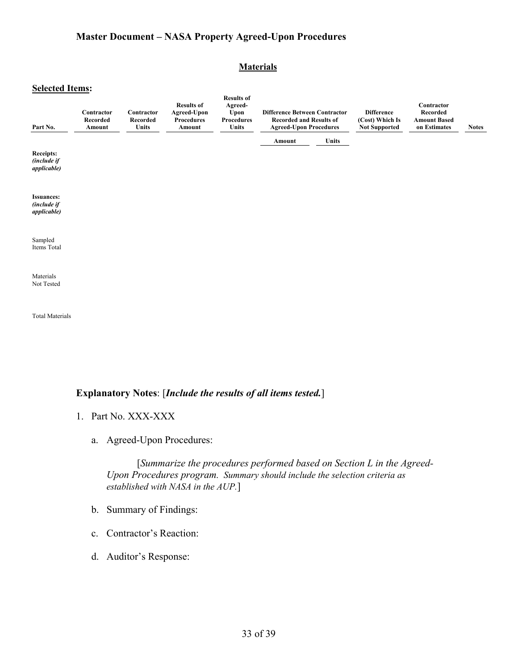#### **Materials**

#### **Selected Items:**

| Part No.                                                       | Contractor<br>Recorded<br>Amount | Contractor<br>Recorded<br><b>Units</b> | <b>Results of</b><br>Agreed-Upon<br>Procedures<br>Amount | <b>Results of</b><br>Agreed-<br>Upon<br>Procedures<br><b>Units</b> | <b>Difference Between Contractor</b><br><b>Recorded and Results of</b><br><b>Agreed-Upon Procedures</b> |              | <b>Difference</b><br>(Cost) Which Is<br><b>Not Supported</b> | Contractor<br>Recorded<br><b>Amount Based</b><br>on Estimates | <b>Notes</b> |
|----------------------------------------------------------------|----------------------------------|----------------------------------------|----------------------------------------------------------|--------------------------------------------------------------------|---------------------------------------------------------------------------------------------------------|--------------|--------------------------------------------------------------|---------------------------------------------------------------|--------------|
| <b>Receipts:</b><br><i>(include if</i><br><i>applicable</i> )  |                                  |                                        |                                                          |                                                                    | Amount                                                                                                  | <b>Units</b> |                                                              |                                                               |              |
| <b>Issuances:</b><br><i>(include if</i><br><i>applicable</i> ) |                                  |                                        |                                                          |                                                                    |                                                                                                         |              |                                                              |                                                               |              |
| Sampled<br>Items Total                                         |                                  |                                        |                                                          |                                                                    |                                                                                                         |              |                                                              |                                                               |              |
| Materials<br>Not Tested                                        |                                  |                                        |                                                          |                                                                    |                                                                                                         |              |                                                              |                                                               |              |

Total Materials

### **Explanatory Notes**: [*Include the results of all items tested.*]

- 1. Part No. XXX-XXX
	- a. Agreed-Upon Procedures:

 [*Summarize the procedures performed based on Section L in the Agreed-Upon Procedures program. Summary should include the selection criteria as established with NASA in the AUP.*]

- b. Summary of Findings:
- c. Contractor's Reaction:
- d. Auditor's Response: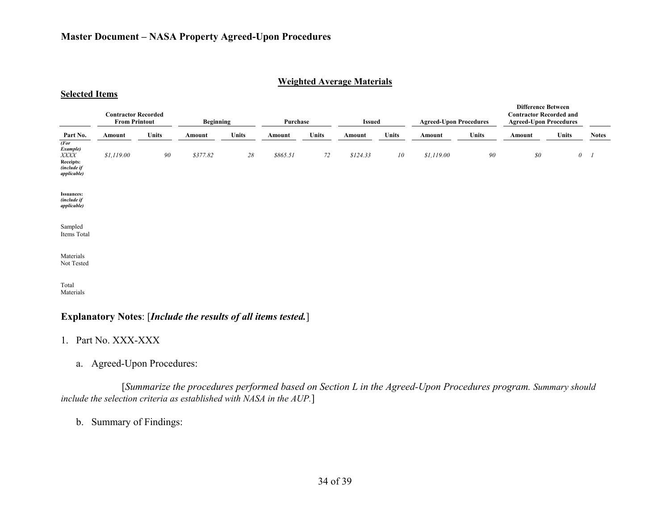#### **Weighted Average Materials**

|                                                                             | <b>Contractor Recorded</b><br><b>From Printout</b> |              | <b>Beginning</b> |              | Purchase |              | <b>Issued</b> |              | <b>Agreed-Upon Procedures</b> |              | <b>Difference Between</b><br><b>Contractor Recorded and</b><br><b>Agreed-Upon Procedures</b> |              |              |  |
|-----------------------------------------------------------------------------|----------------------------------------------------|--------------|------------------|--------------|----------|--------------|---------------|--------------|-------------------------------|--------------|----------------------------------------------------------------------------------------------|--------------|--------------|--|
| Part No.                                                                    | Amount                                             | <b>Units</b> | Amount           | <b>Units</b> | Amount   | <b>Units</b> | Amount        | <b>Units</b> | Amount                        | <b>Units</b> | Amount                                                                                       | <b>Units</b> | <b>Notes</b> |  |
| (For<br>Example)<br>XXXX<br>Receipts:<br>(include if<br><i>applicable</i> ) | \$1,119.00                                         | 90           | \$377.82         | 28           | \$865.51 | 72           | \$124.33      | 10           | \$1,119.00                    | 90           | $\mathcal{S}^{\mathcal{O}}$                                                                  |              | $0 \quad I$  |  |
| <b>Issuances:</b><br>(include if<br><i>applicable</i> )                     |                                                    |              |                  |              |          |              |               |              |                               |              |                                                                                              |              |              |  |
| Sampled<br>Items Total                                                      |                                                    |              |                  |              |          |              |               |              |                               |              |                                                                                              |              |              |  |
| Materials<br>Not Tested                                                     |                                                    |              |                  |              |          |              |               |              |                               |              |                                                                                              |              |              |  |
| Total                                                                       |                                                    |              |                  |              |          |              |               |              |                               |              |                                                                                              |              |              |  |

Materials

**Selected Items**

### **Explanatory Notes**: [*Include the results of all items tested.*]

### 1. Part No. XXX-XXX

a. Agreed-Upon Procedures:

[*Summarize the procedures performed based on Section L in the Agreed-Upon Procedures program. Summary should include the selection criteria as established with NASA in the AUP.*]

b. Summary of Findings: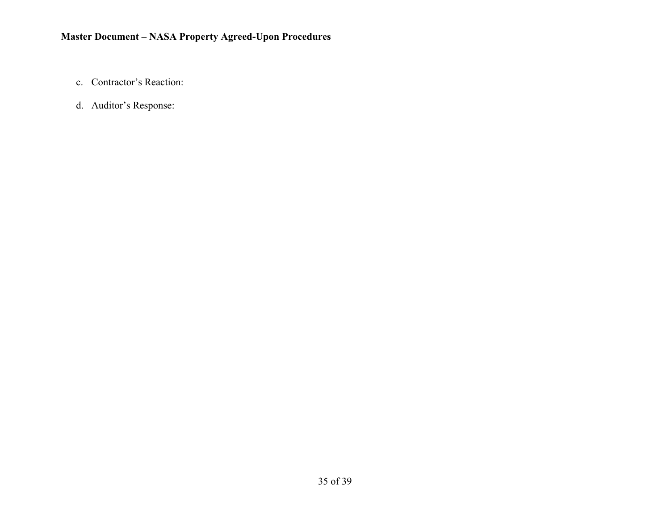- c. Contractor's Reaction:
- d. Auditor's Response: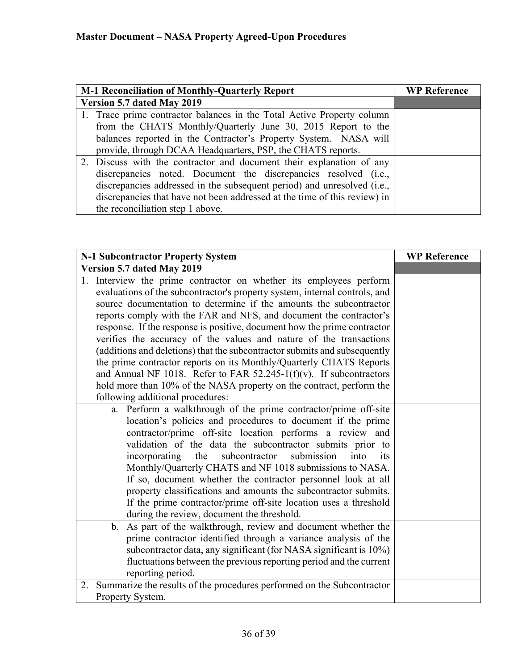| <b>M-1 Reconciliation of Monthly-Quarterly Report</b>                     | <b>WP Reference</b> |
|---------------------------------------------------------------------------|---------------------|
| Version 5.7 dated May 2019                                                |                     |
| 1. Trace prime contractor balances in the Total Active Property column    |                     |
| from the CHATS Monthly/Quarterly June 30, 2015 Report to the              |                     |
| balances reported in the Contractor's Property System. NASA will          |                     |
| provide, through DCAA Headquarters, PSP, the CHATS reports.               |                     |
| 2. Discuss with the contractor and document their explanation of any      |                     |
| discrepancies noted. Document the discrepancies resolved (i.e.,           |                     |
| discrepancies addressed in the subsequent period) and unresolved (i.e.,   |                     |
| discrepancies that have not been addressed at the time of this review) in |                     |
| the reconciliation step 1 above.                                          |                     |

| N-1 Subcontractor Property System                                                                                                                                                                                                                                                                                                                                                                                                                                                                                                                                                                                                                                                                                                                                                       | <b>WP Reference</b> |
|-----------------------------------------------------------------------------------------------------------------------------------------------------------------------------------------------------------------------------------------------------------------------------------------------------------------------------------------------------------------------------------------------------------------------------------------------------------------------------------------------------------------------------------------------------------------------------------------------------------------------------------------------------------------------------------------------------------------------------------------------------------------------------------------|---------------------|
| Version 5.7 dated May 2019                                                                                                                                                                                                                                                                                                                                                                                                                                                                                                                                                                                                                                                                                                                                                              |                     |
| 1. Interview the prime contractor on whether its employees perform<br>evaluations of the subcontractor's property system, internal controls, and<br>source documentation to determine if the amounts the subcontractor<br>reports comply with the FAR and NFS, and document the contractor's<br>response. If the response is positive, document how the prime contractor<br>verifies the accuracy of the values and nature of the transactions<br>(additions and deletions) that the subcontractor submits and subsequently<br>the prime contractor reports on its Monthly/Quarterly CHATS Reports<br>and Annual NF 1018. Refer to FAR $52.245-1(f)(v)$ . If subcontractors<br>hold more than 10% of the NASA property on the contract, perform the<br>following additional procedures: |                     |
| a. Perform a walkthrough of the prime contractor/prime off-site<br>location's policies and procedures to document if the prime<br>contractor/prime off-site location performs a review and<br>validation of the data the subcontractor submits prior to<br>subcontractor<br>submission<br>incorporating the<br>into<br>its<br>Monthly/Quarterly CHATS and NF 1018 submissions to NASA.<br>If so, document whether the contractor personnel look at all<br>property classifications and amounts the subcontractor submits.<br>If the prime contractor/prime off-site location uses a threshold<br>during the review, document the threshold.                                                                                                                                             |                     |
| b. As part of the walkthrough, review and document whether the<br>prime contractor identified through a variance analysis of the<br>subcontractor data, any significant (for NASA significant is 10%)<br>fluctuations between the previous reporting period and the current<br>reporting period.                                                                                                                                                                                                                                                                                                                                                                                                                                                                                        |                     |
| Summarize the results of the procedures performed on the Subcontractor<br>2.<br>Property System.                                                                                                                                                                                                                                                                                                                                                                                                                                                                                                                                                                                                                                                                                        |                     |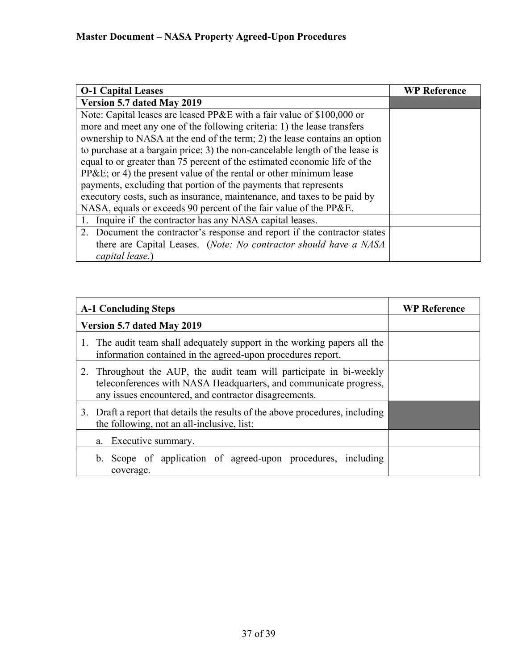| <b>O-1 Capital Leases</b>                                                    | <b>WP Reference</b> |
|------------------------------------------------------------------------------|---------------------|
| Version 5.7 dated May 2019                                                   |                     |
| Note: Capital leases are leased PP&E with a fair value of \$100,000 or       |                     |
| more and meet any one of the following criteria: 1) the lease transfers      |                     |
| ownership to NASA at the end of the term; 2) the lease contains an option    |                     |
| to purchase at a bargain price; 3) the non-cancelable length of the lease is |                     |
| equal to or greater than 75 percent of the estimated economic life of the    |                     |
| $PP&E$ ; or 4) the present value of the rental or other minimum lease        |                     |
| payments, excluding that portion of the payments that represents             |                     |
| executory costs, such as insurance, maintenance, and taxes to be paid by     |                     |
| NASA, equals or exceeds 90 percent of the fair value of the PP&E.            |                     |
| 1. Inquire if the contractor has any NASA capital leases.                    |                     |
| 2. Document the contractor's response and report if the contractor states    |                     |
| there are Capital Leases. (Note: No contractor should have a NASA            |                     |
| capital lease.                                                               |                     |

| <b>A-1 Concluding Steps</b>                                                                                                                                                                       | <b>WP Reference</b> |
|---------------------------------------------------------------------------------------------------------------------------------------------------------------------------------------------------|---------------------|
| Version 5.7 dated May 2019                                                                                                                                                                        |                     |
| 1. The audit team shall adequately support in the working papers all the<br>information contained in the agreed-upon procedures report.                                                           |                     |
| 2. Throughout the AUP, the audit team will participate in bi-weekly<br>teleconferences with NASA Headquarters, and communicate progress,<br>any issues encountered, and contractor disagreements. |                     |
| 3. Draft a report that details the results of the above procedures, including<br>the following, not an all-inclusive, list:                                                                       |                     |
| a. Executive summary.                                                                                                                                                                             |                     |
| b. Scope of application of agreed-upon procedures, including<br>coverage.                                                                                                                         |                     |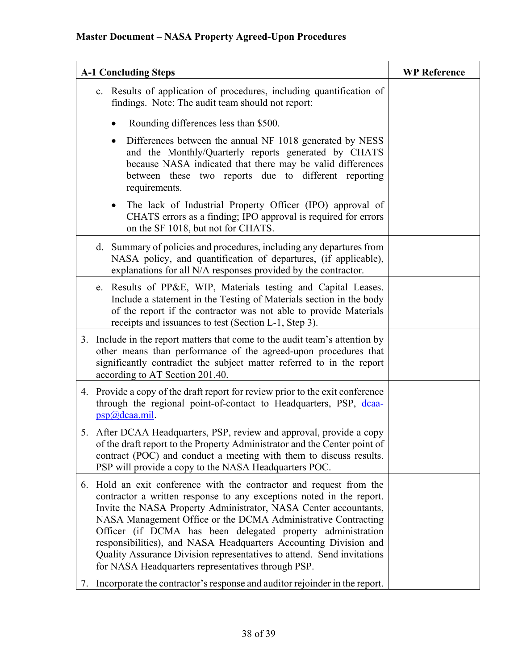| <b>A-1 Concluding Steps</b>                                                                                                                                                                                                                                                                                                                                                                                                                                                                                                                            | <b>WP Reference</b> |
|--------------------------------------------------------------------------------------------------------------------------------------------------------------------------------------------------------------------------------------------------------------------------------------------------------------------------------------------------------------------------------------------------------------------------------------------------------------------------------------------------------------------------------------------------------|---------------------|
| c. Results of application of procedures, including quantification of<br>findings. Note: The audit team should not report:                                                                                                                                                                                                                                                                                                                                                                                                                              |                     |
| Rounding differences less than \$500.                                                                                                                                                                                                                                                                                                                                                                                                                                                                                                                  |                     |
| Differences between the annual NF 1018 generated by NESS<br>$\bullet$<br>and the Monthly/Quarterly reports generated by CHATS<br>because NASA indicated that there may be valid differences<br>between these two reports due to different reporting<br>requirements.                                                                                                                                                                                                                                                                                   |                     |
| The lack of Industrial Property Officer (IPO) approval of<br>$\bullet$<br>CHATS errors as a finding; IPO approval is required for errors<br>on the SF 1018, but not for CHATS.                                                                                                                                                                                                                                                                                                                                                                         |                     |
| d. Summary of policies and procedures, including any departures from<br>NASA policy, and quantification of departures, (if applicable),<br>explanations for all N/A responses provided by the contractor.                                                                                                                                                                                                                                                                                                                                              |                     |
| Results of PP&E, WIP, Materials testing and Capital Leases.<br>e.<br>Include a statement in the Testing of Materials section in the body<br>of the report if the contractor was not able to provide Materials<br>receipts and issuances to test (Section L-1, Step 3).                                                                                                                                                                                                                                                                                 |                     |
| 3. Include in the report matters that come to the audit team's attention by<br>other means than performance of the agreed-upon procedures that<br>significantly contradict the subject matter referred to in the report<br>according to AT Section 201.40.                                                                                                                                                                                                                                                                                             |                     |
| 4. Provide a copy of the draft report for review prior to the exit conference<br>through the regional point-of-contact to Headquarters, PSP, dcaa-<br>psp(a)deaa.mil.                                                                                                                                                                                                                                                                                                                                                                                  |                     |
| 5. After DCAA Headquarters, PSP, review and approval, provide a copy<br>of the draft report to the Property Administrator and the Center point of<br>contract (POC) and conduct a meeting with them to discuss results.<br>PSP will provide a copy to the NASA Headquarters POC.                                                                                                                                                                                                                                                                       |                     |
| Hold an exit conference with the contractor and request from the<br>6.<br>contractor a written response to any exceptions noted in the report.<br>Invite the NASA Property Administrator, NASA Center accountants,<br>NASA Management Office or the DCMA Administrative Contracting<br>Officer (if DCMA has been delegated property administration<br>responsibilities), and NASA Headquarters Accounting Division and<br>Quality Assurance Division representatives to attend. Send invitations<br>for NASA Headquarters representatives through PSP. |                     |
| Incorporate the contractor's response and auditor rejoinder in the report.<br>$\mathcal{L}$ .                                                                                                                                                                                                                                                                                                                                                                                                                                                          |                     |